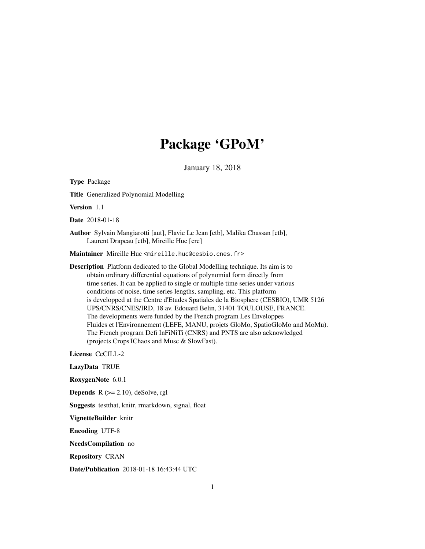# Package 'GPoM'

January 18, 2018

Type Package Title Generalized Polynomial Modelling Version 1.1 Date 2018-01-18 Author Sylvain Mangiarotti [aut], Flavie Le Jean [ctb], Malika Chassan [ctb], Laurent Drapeau [ctb], Mireille Huc [cre] Maintainer Mireille Huc <mireille.huc@cesbio.cnes.fr> Description Platform dedicated to the Global Modelling technique. Its aim is to obtain ordinary differential equations of polynomial form directly from time series. It can be applied to single or multiple time series under various conditions of noise, time series lengths, sampling, etc. This platform is developped at the Centre d'Etudes Spatiales de la Biosphere (CESBIO), UMR 5126 UPS/CNRS/CNES/IRD, 18 av. Edouard Belin, 31401 TOULOUSE, FRANCE. The developments were funded by the French program Les Enveloppes Fluides et l'Environnement (LEFE, MANU, projets GloMo, SpatioGloMo and MoMu). The French program Defi InFiNiTi (CNRS) and PNTS are also acknowledged (projects Crops'IChaos and Musc & SlowFast). License CeCILL-2 LazyData TRUE RoxygenNote 6.0.1 **Depends**  $R$  ( $>= 2.10$ ), deSolve, rgl Suggests testthat, knitr, rmarkdown, signal, float VignetteBuilder knitr Encoding UTF-8 NeedsCompilation no Repository CRAN Date/Publication 2018-01-18 16:43:44 UTC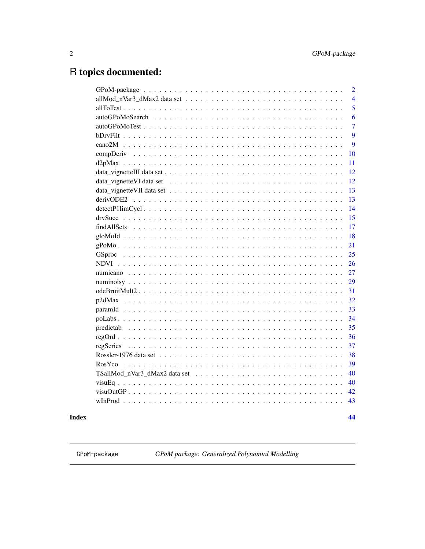44

## <span id="page-1-0"></span>R topics documented:

| $GPoM\text{-}package \dots \dots \dots \dots \dots \dots \dots \dots \dots \dots \dots \dots \dots \dots \dots \dots$<br>$\overline{2}$ |
|-----------------------------------------------------------------------------------------------------------------------------------------|
| allMod_nVar3_dMax2 data set $\dots \dots \dots \dots \dots \dots \dots \dots \dots \dots \dots \dots \dots \dots$<br>$\overline{4}$     |
| 5                                                                                                                                       |
| 6                                                                                                                                       |
| $\overline{7}$                                                                                                                          |
| $\overline{9}$                                                                                                                          |
| $\overline{9}$                                                                                                                          |
| 10                                                                                                                                      |
| 11                                                                                                                                      |
| 12                                                                                                                                      |
| 12                                                                                                                                      |
| 13                                                                                                                                      |
| 13                                                                                                                                      |
| 14                                                                                                                                      |
| 15                                                                                                                                      |
| 17                                                                                                                                      |
| 18                                                                                                                                      |
| 21                                                                                                                                      |
| 25                                                                                                                                      |
| 26                                                                                                                                      |
| 27                                                                                                                                      |
| 29                                                                                                                                      |
| 31                                                                                                                                      |
| 32                                                                                                                                      |
| 33                                                                                                                                      |
| 34                                                                                                                                      |
| 35                                                                                                                                      |
| 36                                                                                                                                      |
| 37                                                                                                                                      |
| 38                                                                                                                                      |
| 39                                                                                                                                      |
| 40                                                                                                                                      |
| 40                                                                                                                                      |
| 42                                                                                                                                      |
| 43                                                                                                                                      |
|                                                                                                                                         |

## **Index**

GPoM-package

GPoM package: Generalized Polynomial Modelling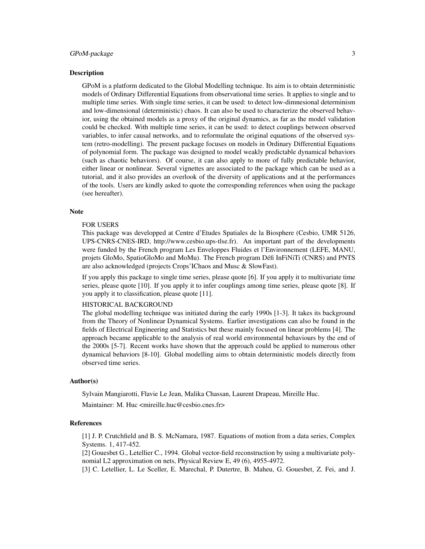#### GPoM-package 3

#### Description

GPoM is a platform dedicated to the Global Modelling technique. Its aim is to obtain deterministic models of Ordinary Differential Equations from observational time series. It applies to single and to multiple time series. With single time series, it can be used: to detect low-dimnesional determinism and low-dimensional (deterministic) chaos. It can also be used to characterize the observed behavior, using the obtained models as a proxy of the original dynamics, as far as the model validation could be checked. With multiple time series, it can be used: to detect couplings between observed variables, to infer causal networks, and to reformulate the original equations of the observed system (retro-modelling). The present package focuses on models in Ordinary Differential Equations of polynomial form. The package was designed to model weakly predictable dynamical behaviors (such as chaotic behaviors). Of course, it can also apply to more of fully predictable behavior, either linear or nonlinear. Several vignettes are associated to the package which can be used as a tutorial, and it also provides an overlook of the diversity of applications and at the performances of the tools. Users are kindly asked to quote the corresponding references when using the package (see hereafter).

#### Note

#### FOR USERS

This package was developped at Centre d'Etudes Spatiales de la Biosphere (Cesbio, UMR 5126, UPS-CNRS-CNES-IRD, http://www.cesbio.ups-tlse.fr). An important part of the developments were funded by the French program Les Enveloppes Fluides et l'Environnement (LEFE, MANU, projets GloMo, SpatioGloMo and MoMu). The French program Défi InFiNiTi (CNRS) and PNTS are also acknowledged (projects Crops'IChaos and Musc & SlowFast).

If you apply this package to single time series, please quote [6]. If you apply it to multivariate time series, please quote [10]. If you apply it to infer couplings among time series, please quote [8]. If you apply it to classification, please quote [11].

## HISTORICAL BACKGROUND

The global modelling technique was initiated during the early 1990s [1-3]. It takes its background from the Theory of Nonlinear Dynamical Systems. Earlier investigations can also be found in the fields of Electrical Engineering and Statistics but these mainly focused on linear problems [4]. The approach became applicable to the analysis of real world environmental behaviours by the end of the 2000s [5-7]. Recent works have shown that the approach could be applied to numerous other dynamical behaviors [8-10]. Global modelling aims to obtain deterministic models directly from observed time series.

#### Author(s)

Sylvain Mangiarotti, Flavie Le Jean, Malika Chassan, Laurent Drapeau, Mireille Huc.

Maintainer: M. Huc <mireille.huc@cesbio.cnes.fr>

#### References

[1] J. P. Crutchfield and B. S. McNamara, 1987. Equations of motion from a data series, Complex Systems. 1, 417-452.

[2] Gouesbet G., Letellier C., 1994. Global vector-field reconstruction by using a multivariate polynomial L2 approximation on nets, Physical Review E, 49 (6), 4955-4972.

[3] C. Letellier, L. Le Sceller, E. Marechal, P. Dutertre, B. Maheu, G. Gouesbet, Z. Fei, and J.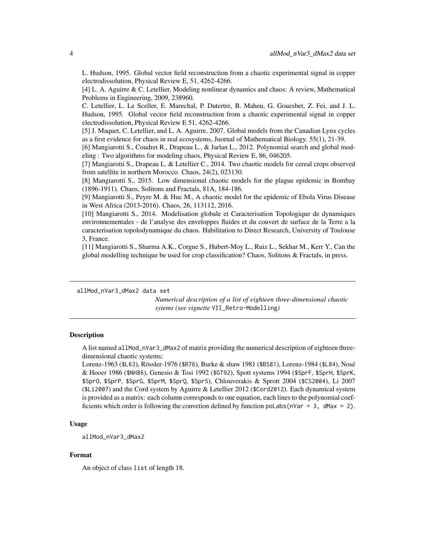<span id="page-3-0"></span>L. Hudson, 1995. Global vector field reconstruction from a chaotic experimental signal in copper electrodissolution, Physical Review E, 51, 4262-4266.

[4] L. A. Aguirre & C. Letellier, Modeling nonlinear dynamics and chaos: A review, Mathematical Problems in Engineering, 2009, 238960.

C. Letellier, L. Le Sceller, E. Marechal, P. Dutertre, B. Maheu, G. Gouesbet, Z. Fei, and J. L. Hudson, 1995. Global vector field reconstruction from a chaotic experimental signal in copper electrodissolution, Physical Review E 51, 4262-4266.

[5] J. Maquet, C. Letellier, and L. A. Aguirre, 2007. Global models from the Canadian Lynx cycles as a first evidence for chaos in real ecosystems, Juornal of Mathematical Biology. 55(1), 21-39.

[6] Mangiarotti S., Coudret R., Drapeau L., & Jarlan L., 2012. Polynomial search and global modeling : Two algorithms for modeling chaos, Physical Review E, 86, 046205.

[7] Mangiarotti S., Drapeau L. & Letellier C., 2014. Two chaotic models for cereal crops observed from satellite in northern Morocco. Chaos, 24(2), 023130.

[8] Mangiarotti S., 2015. Low dimensional chaotic models for the plague epidemic in Bombay (1896-1911). Chaos, Solitons and Fractals, 81A, 184-186.

[9] Mangiarotti S., Peyre M. & Huc M., A chaotic model for the epidemic of Ebola Virus Disease in West Africa (2013-2016). Chaos, 26, 113112, 2016.

[10] Mangiarotti S., 2014. Modelisation globale et Caracterisation Topologique de dynamiques environnementales - de l'analyse des enveloppes fluides et du couvert de surface de la Terre a la caracterisation topolodynamique du chaos. Habilitation to Direct Research, University of Toulouse 3, France.

[11] Mangiarotti S., Sharma A.K., Corgne S., Hubert-Moy L., Ruiz L., Sekhar M., Kerr Y., Can the global modelling technique be used for crop classification? Chaos, Solitons & Fractals, in press.

allMod\_nVar3\_dMax2 data set

*Numerical description of a list of eighteen three-dimensional chaotic sytems (see vignette* VII\_Retro-Modelling*)*

### Description

A list named allMod\_nVar3\_dMax2 of matrix providing the numerical description of eighteen threedimensional chaotic systems:

Lorenz-1963 (\$L63), Rössler-1976 (\$R76), Burke & shaw 1981 (\$BS81), Lorenz-1984 (\$L84), Nosé & Hooer 1986 (\$NH86), Genesio & Tosi 1992 (\$GT92), Spott systems 1994 (\$SprF, \$SprH, \$SprK, \$SprO, \$SprP, \$SprG, \$SprM, \$SprQ, \$SprS), Chlouverakis & Sprott 2004 (\$CS2004), Li 2007 (\$Li2007) and the Cord system by Aguirre & Letellier 2012 (\$Cord2012). Each dynamical system is provided as a matrix: each column corresponds to one equation, each lines to the polynomial coefficients which order is following the convetion defined by function polabs ( $nVar = 3$ ,  $dMax = 2$ ).

#### Usage

allMod\_nVar3\_dMax2

#### Format

An object of class list of length 18.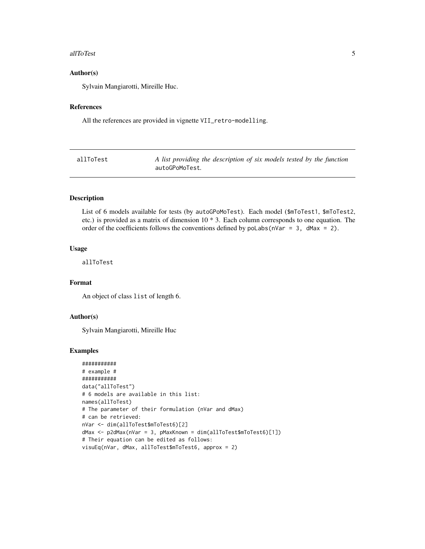#### <span id="page-4-0"></span>allToTest 5

## Author(s)

Sylvain Mangiarotti, Mireille Huc.

## References

All the references are provided in vignette VII\_retro-modelling.

| allToTest | A list providing the description of six models tested by the function |
|-----------|-----------------------------------------------------------------------|
|           | autoGPoMoTest.                                                        |

## Description

List of 6 models available for tests (by autoGPoMoTest). Each model (\$mToTest1, \$mToTest2, etc.) is provided as a matrix of dimension 10 \* 3. Each column corresponds to one equation. The order of the coefficients follows the conventions defined by poLabs(nVar = 3, dMax = 2).

#### Usage

allToTest

## Format

An object of class list of length 6.

#### Author(s)

Sylvain Mangiarotti, Mireille Huc

```
###########
# example #
###########
data("allToTest")
# 6 models are available in this list:
names(allToTest)
# The parameter of their formulation (nVar and dMax)
# can be retrieved:
nVar <- dim(allToTest$mToTest6)[2]
dMax <- p2dMax(nVar = 3, pMaxKnown = dim(allToTest$mToTest6)[1])
# Their equation can be edited as follows:
visuEq(nVar, dMax, allToTest$mToTest6, approx = 2)
```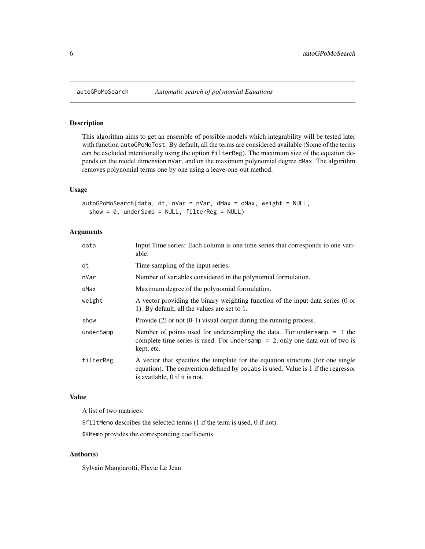## Description

This algorithm aims to get an ensemble of possible models which integrability will be tested later with function autoGPoMoTest. By default, all the terms are considered available (Some of the terms can be excluded intentionally using the option filterReg). The maximum size of the equation depends on the model dimension nVar, and on the maximum polynomial degree dMax. The algorithm removes polynomial terms one by one using a leave-one-out method.

#### Usage

```
autoGPoMoSearch(data, dt, nVar = nVar, dMax = dMax, weight = NULL,
  show = 0, underSamp = NULL, filterReg = NULL)
```
#### Arguments

| data      | Input Time series: Each column is one time series that corresponds to one vari-<br>able.                                                                                                             |
|-----------|------------------------------------------------------------------------------------------------------------------------------------------------------------------------------------------------------|
| dt        | Time sampling of the input series.                                                                                                                                                                   |
| nVar      | Number of variables considered in the polynomial formulation.                                                                                                                                        |
| dMax      | Maximum degree of the polynomial formulation.                                                                                                                                                        |
| weight    | A vector providing the binary weighting function of the input data series (0 or<br>1). By default, all the values are set to 1.                                                                      |
| show      | Provide $(2)$ or not $(0-1)$ visual output during the running process.                                                                                                                               |
| underSamp | Number of points used for undersampling the data. For undersamp $= 1$ the<br>complete time series is used. For undersamp $= 2$ , only one data out of two is<br>kept, etc.                           |
| filterReg | A vector that specifies the template for the equation structure (for one single<br>equation). The convention defined by polabs is used. Value is 1 if the regressor<br>is available, 0 if it is not. |

#### Value

A list of two matrices:

\$filtMemo describes the selected terms (1 if the term is used, 0 if not)

\$KMemo provides the corresponding coefficients

## Author(s)

Sylvain Mangiarotti, Flavie Le Jean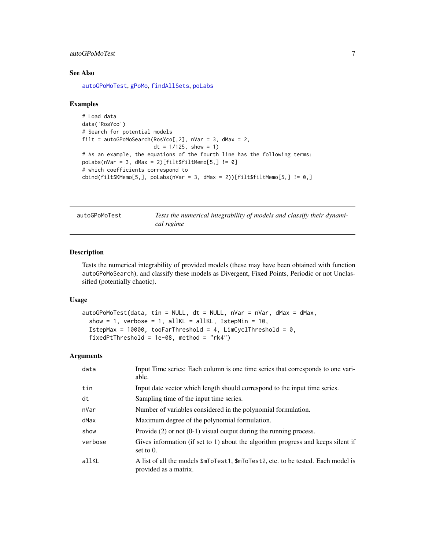## <span id="page-6-0"></span>autoGPoMoTest 7

#### See Also

[autoGPoMoTest](#page-6-1), [gPoMo](#page-20-1), [findAllSets](#page-16-1), [poLabs](#page-33-1)

#### Examples

```
# Load data
data('RosYco')
# Search for potential models
filt = autoGPoMoSearch(RosYco[, 2], nVar = 3, dMax = 2,dt = 1/125, show = 1)
# As an example, the equations of the fourth line has the following terms:
polabs(nVar = 3, dMax = 2)[filtsfiltMemo[5, ] != 0]# which coefficients correspond to
\text{cbind}(filt$KMemo[5,], \text{polabs}(nVar = 3, dMax = 2))[filt$filtMemo[5,] != 0,]
```
<span id="page-6-1"></span>autoGPoMoTest *Tests the numerical integrability of models and classify their dynamical regime*

## Description

Tests the numerical integrability of provided models (these may have been obtained with function autoGPoMoSearch), and classify these models as Divergent, Fixed Points, Periodic or not Unclassified (potentially chaotic).

#### Usage

```
autoGPoMoTest(data, tin = NULL, dt = NULL, nVar = nVar, dMax = dMax,show = 1, verbose = 1, allKL = allKL, IstepMin = 10,
  IstepMax = 10000, tooFarThreshold = 4, LimCyclThreshold = 0,
  fixedPtThreshold = 1e-08, method = "rk4")
```
#### Arguments

| data    | Input Time series: Each column is one time series that corresponds to one vari-<br>able.                                           |
|---------|------------------------------------------------------------------------------------------------------------------------------------|
| tin     | Input date vector which length should correspond to the input time series.                                                         |
| dt      | Sampling time of the input time series.                                                                                            |
| nVar    | Number of variables considered in the polynomial formulation.                                                                      |
| dMax    | Maximum degree of the polynomial formulation.                                                                                      |
| show    | Provide $(2)$ or not $(0-1)$ visual output during the running process.                                                             |
| verbose | Gives information (if set to 1) about the algorithm progress and keeps silent if<br>set to $0$ .                                   |
| allKL   | A list of all the models $m\bar{\text{0}}$ rest, $m\bar{\text{0}}$ rest, etc. to be tested. Each model is<br>provided as a matrix. |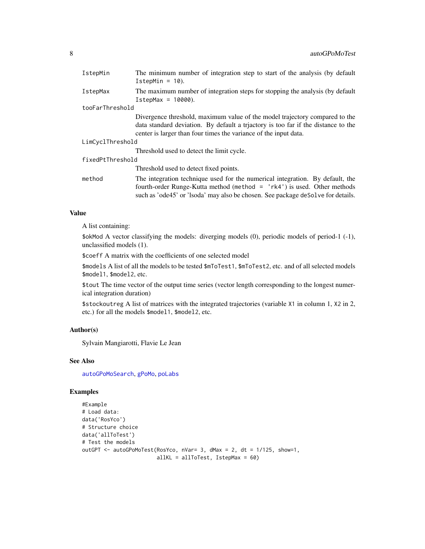<span id="page-7-0"></span>

| IstepMin         | The minimum number of integration step to start of the analysis (by default<br>$IstepMin = 10$ .                                                                                                                                              |
|------------------|-----------------------------------------------------------------------------------------------------------------------------------------------------------------------------------------------------------------------------------------------|
| <b>IstepMax</b>  | The maximum number of integration steps for stopping the analysis (by default<br>$IstepMax = 10000$ .                                                                                                                                         |
| tooFarThreshold  |                                                                                                                                                                                                                                               |
|                  | Divergence threshold, maximum value of the model trajectory compared to the<br>data standard deviation. By default a triactory is too far if the distance to the<br>center is larger than four times the variance of the input data.          |
| LimCyclThreshold |                                                                                                                                                                                                                                               |
|                  | Threshold used to detect the limit cycle.                                                                                                                                                                                                     |
| fixedPtThreshold |                                                                                                                                                                                                                                               |
|                  | Threshold used to detect fixed points.                                                                                                                                                                                                        |
| method           | The integration technique used for the numerical integration. By default, the<br>fourth-order Runge-Kutta method (method $=$ 'rk4') is used. Other methods<br>such as 'ode45' or 'lsoda' may also be chosen. See package deSolve for details. |

## Value

A list containing:

\$okMod A vector classifying the models: diverging models (0), periodic models of period-1 (-1), unclassified models (1).

\$coeff A matrix with the coefficients of one selected model

\$models A list of all the models to be tested \$mToTest1, \$mToTest2, etc. and of all selected models \$model1, \$model2, etc.

\$tout The time vector of the output time series (vector length corresponding to the longest numerical integration duration)

\$stockoutreg A list of matrices with the integrated trajectories (variable X1 in column 1, X2 in 2, etc.) for all the models \$model1, \$model2, etc.

## Author(s)

Sylvain Mangiarotti, Flavie Le Jean

#### See Also

[autoGPoMoSearch](#page-5-1), [gPoMo](#page-20-1), [poLabs](#page-33-1)

```
#Example
# Load data:
data('RosYco')
# Structure choice
data('allToTest')
# Test the models
outGPT <- autoGPoMoTest(RosYco, nVar= 3, dMax = 2, dt = 1/125, show=1,
                        allKL = allToTest, IstepMax = 60)
```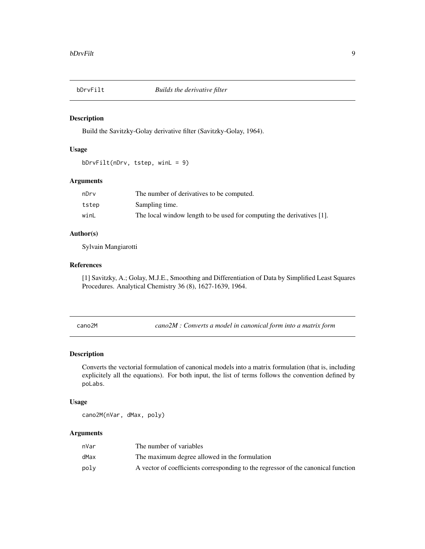<span id="page-8-0"></span>

## Description

Build the Savitzky-Golay derivative filter (Savitzky-Golay, 1964).

## Usage

```
bDrvFilt(nDrv, tstep, winL = 9)
```
### Arguments

| nDrv  | The number of derivatives to be computed.                             |
|-------|-----------------------------------------------------------------------|
| tstep | Sampling time.                                                        |
| winL  | The local window length to be used for computing the derivatives [1]. |

#### Author(s)

Sylvain Mangiarotti

#### References

[1] Savitzky, A.; Golay, M.J.E., Smoothing and Differentiation of Data by Simplified Least Squares Procedures. Analytical Chemistry 36 (8), 1627-1639, 1964.

cano2M *cano2M : Converts a model in canonical form into a matrix form*

## Description

Converts the vectorial formulation of canonical models into a matrix formulation (that is, including explicitely all the equations). For both input, the list of terms follows the convention defined by poLabs.

#### Usage

cano2M(nVar, dMax, poly)

#### Arguments

| nVar | The number of variables                                                           |
|------|-----------------------------------------------------------------------------------|
| dMax | The maximum degree allowed in the formulation                                     |
| polv | A vector of coefficients corresponding to the regressor of the canonical function |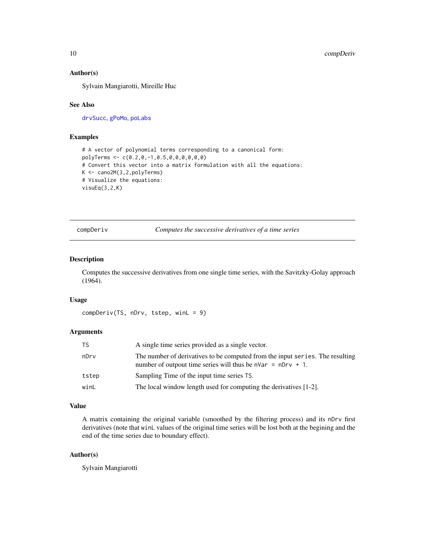#### <span id="page-9-0"></span>Author(s)

Sylvain Mangiarotti, Mireille Huc

## See Also

[drvSucc](#page-14-1), [gPoMo](#page-20-1), [poLabs](#page-33-1)

## Examples

```
# A vector of polynomial terms corresponding to a canonical form:
polyTerms <- c(0.2,0,-1,0.5,0,0,0,0,0,0)
# Convert this vector into a matrix formulation with all the equations:
K <- cano2M(3,2,polyTerms)
# Visualize the equations:
visuEq(3,2,K)
```
<span id="page-9-1"></span>compDeriv *Computes the successive derivatives of a time series*

## Description

Computes the successive derivatives from one single time series, with the Savitzky-Golay approach (1964).

#### Usage

```
compDeriv(TS, nDrv, tstep, winL = 9)
```
## Arguments

| TS    | A single time series provided as a single vector.                                                                                               |
|-------|-------------------------------------------------------------------------------------------------------------------------------------------------|
| nDrv  | The number of derivatives to be computed from the input series. The resulting<br>number of outpout time series will thus be $n\pi = nDrv + 1$ . |
| tstep | Sampling Time of the input time series TS.                                                                                                      |
| winL  | The local window length used for computing the derivatives [1-2].                                                                               |

## Value

A matrix containing the original variable (smoothed by the filtering process) and its nDrv first derivatives (note that winL values of the original time series will be lost both at the begining and the end of the time series due to boundary effect).

## Author(s)

Sylvain Mangiarotti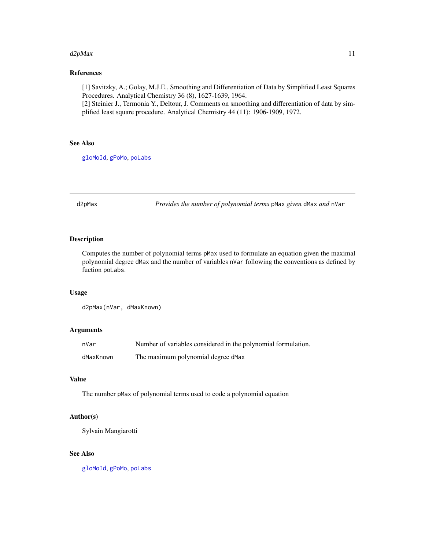#### <span id="page-10-0"></span> $d2pMax$  11

## References

[1] Savitzky, A.; Golay, M.J.E., Smoothing and Differentiation of Data by Simplified Least Squares Procedures. Analytical Chemistry 36 (8), 1627-1639, 1964.

[2] Steinier J., Termonia Y., Deltour, J. Comments on smoothing and differentiation of data by simplified least square procedure. Analytical Chemistry 44 (11): 1906-1909, 1972.

## See Also

[gloMoId](#page-17-1), [gPoMo](#page-20-1), [poLabs](#page-33-1)

d2pMax *Provides the number of polynomial terms* pMax *given* dMax *and* nVar

## Description

Computes the number of polynomial terms pMax used to formulate an equation given the maximal polynomial degree dMax and the number of variables nVar following the conventions as defined by fuction poLabs.

### Usage

d2pMax(nVar, dMaxKnown)

#### Arguments

| nVar      | Number of variables considered in the polynomial formulation. |
|-----------|---------------------------------------------------------------|
| dMaxKnown | The maximum polynomial degree dMax                            |

## Value

The number pMax of polynomial terms used to code a polynomial equation

#### Author(s)

Sylvain Mangiarotti

## See Also

[gloMoId](#page-17-1), [gPoMo](#page-20-1), [poLabs](#page-33-1)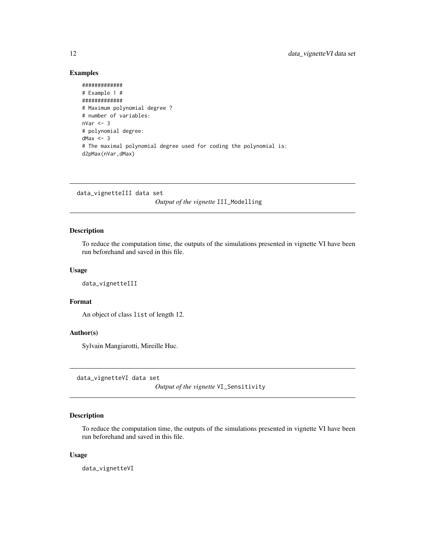## Examples

```
#############
# Example 1 #
#############
# Maximum polynomial degree ?
# number of variables:
nVar < -3# polynomial degree:
dMax <-3# The maximal polynomial degree used for coding the polynomial is:
d2pMax(nVar,dMax)
```
data\_vignetteIII data set *Output of the vignette* III\_Modelling

#### Description

To reduce the computation time, the outputs of the simulations presented in vignette VI have been run beforehand and saved in this file.

## Usage

data\_vignetteIII

#### Format

An object of class list of length 12.

#### Author(s)

Sylvain Mangiarotti, Mireille Huc.

data\_vignetteVI data set

*Output of the vignette* VI\_Sensitivity

## Description

To reduce the computation time, the outputs of the simulations presented in vignette VI have been run beforehand and saved in this file.

#### Usage

data\_vignetteVI

<span id="page-11-0"></span>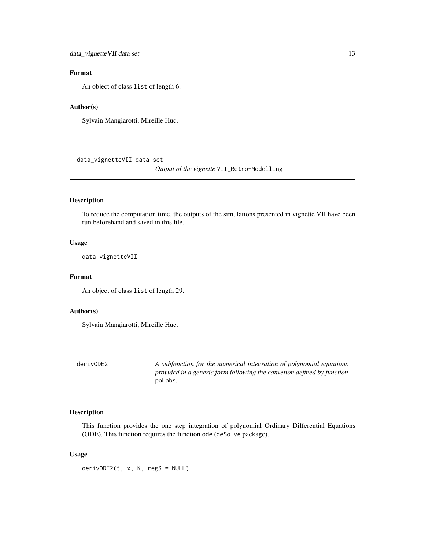## <span id="page-12-0"></span>Format

An object of class list of length 6.

## Author(s)

Sylvain Mangiarotti, Mireille Huc.

data\_vignetteVII data set

*Output of the vignette* VII\_Retro-Modelling

## Description

To reduce the computation time, the outputs of the simulations presented in vignette VII have been run beforehand and saved in this file.

#### Usage

data\_vignetteVII

## Format

An object of class list of length 29.

#### Author(s)

Sylvain Mangiarotti, Mireille Huc.

<span id="page-12-1"></span>

A subfonction for the numerical integration of polynomial equations *provided in a generic form following the convetion defined by function* poLabs*.*

## Description

This function provides the one step integration of polynomial Ordinary Differential Equations (ODE). This function requires the function ode (deSolve package).

## Usage

 $derivODE2(t, x, K, regS = NULL)$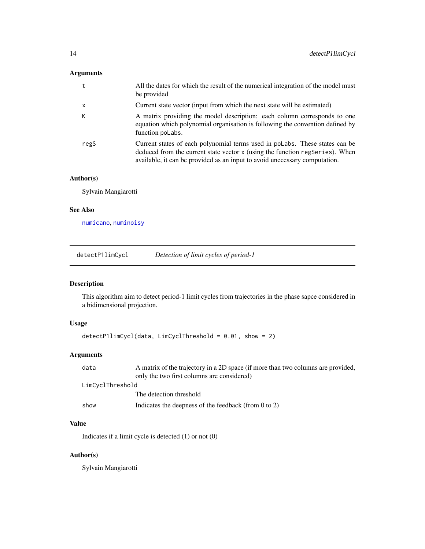## <span id="page-13-0"></span>Arguments

|              | All the dates for which the result of the numerical integration of the model must<br>be provided                                                                                                                                          |
|--------------|-------------------------------------------------------------------------------------------------------------------------------------------------------------------------------------------------------------------------------------------|
| $\mathsf{x}$ | Current state vector (input from which the next state will be estimated)                                                                                                                                                                  |
| К            | A matrix providing the model description: each column corresponds to one<br>equation which polynomial organisation is following the convention defined by<br>function poLabs.                                                             |
| regS         | Current states of each polynomial terms used in polabs. These states can be<br>deduced from the current state vector x (using the function regseries). When<br>available, it can be provided as an input to avoid unecessary computation. |

## Author(s)

Sylvain Mangiarotti

## See Also

[numicano](#page-26-1), [numinoisy](#page-28-1)

detectP1limCycl *Detection of limit cycles of period-1*

## Description

This algorithm aim to detect period-1 limit cycles from trajectories in the phase sapce considered in a bidimensional projection.

## Usage

```
detectP1limCycl(data, LimCyclThreshold = 0.01, show = 2)
```
## Arguments

| data             | A matrix of the trajectory in a 2D space (if more than two columns are provided,<br>only the two first columns are considered) |
|------------------|--------------------------------------------------------------------------------------------------------------------------------|
| LimCyclThreshold |                                                                                                                                |
|                  | The detection threshold                                                                                                        |
| show             | Indicates the deepness of the feedback (from $0$ to $2$ )                                                                      |

## Value

Indicates if a limit cycle is detected (1) or not (0)

## Author(s)

Sylvain Mangiarotti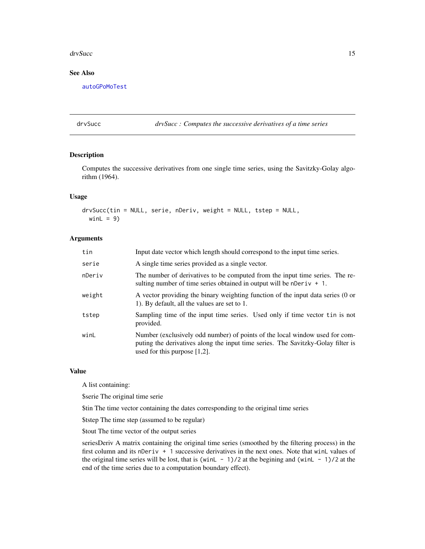#### <span id="page-14-0"></span>drvSucc<sup>15</sup> and the state of the state of the state of the state of the state of the state of the state of the state of the state of the state of the state of the state of the state of the state of the state of the state o

## See Also

[autoGPoMoTest](#page-6-1)

<span id="page-14-1"></span>drvSucc *drvSucc : Computes the successive derivatives of a time series*

## Description

Computes the successive derivatives from one single time series, using the Savitzky-Golay algorithm (1964).

## Usage

drvSucc(tin = NULL, serie, nDeriv, weight = NULL, tstep = NULL, win $L = 9$ )

## Arguments

| tin    | Input date vector which length should correspond to the input time series.                                                                                                                         |
|--------|----------------------------------------------------------------------------------------------------------------------------------------------------------------------------------------------------|
| serie  | A single time series provided as a single vector.                                                                                                                                                  |
| nDeriv | The number of derivatives to be computed from the input time series. The re-<br>sulting number of time series obtained in output will be nDeriv $+1$ .                                             |
| weight | A vector providing the binary weighting function of the input data series (0 or<br>1). By default, all the values are set to 1.                                                                    |
| tstep  | Sampling time of the input time series. Used only if time vector tin is not<br>provided.                                                                                                           |
| winL   | Number (exclusively odd number) of points of the local window used for com-<br>puting the derivatives along the input time series. The Savitzky-Golay filter is<br>used for this purpose $[1,2]$ . |

## Value

A list containing:

\$serie The original time serie

\$tin The time vector containing the dates corresponding to the original time series

\$tstep The time step (assumed to be regular)

\$tout The time vector of the output series

seriesDeriv A matrix containing the original time series (smoothed by the filtering process) in the first column and its nDeriv + 1 successive derivatives in the next ones. Note that winL values of the original time series will be lost, that is (winL - 1)/2 at the begining and (winL - 1)/2 at the end of the time series due to a computation boundary effect).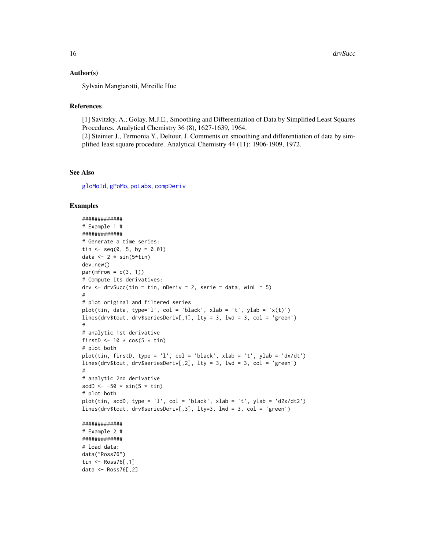#### <span id="page-15-0"></span>Author(s)

Sylvain Mangiarotti, Mireille Huc

#### References

[1] Savitzky, A.; Golay, M.J.E., Smoothing and Differentiation of Data by Simplified Least Squares Procedures. Analytical Chemistry 36 (8), 1627-1639, 1964.

[2] Steinier J., Termonia Y., Deltour, J. Comments on smoothing and differentiation of data by simplified least square procedure. Analytical Chemistry 44 (11): 1906-1909, 1972.

## See Also

[gloMoId](#page-17-1), [gPoMo](#page-20-1), [poLabs](#page-33-1), [compDeriv](#page-9-1)

```
#############
# Example 1 #
#############
# Generate a time series:
tin \leq - seq(0, 5, by = 0.01)
data <- 2 * sin(5 * tin)dev.new()
par(mfrow = c(3, 1))# Compute its derivatives:
drv \leq drvSucc(tin = tin, nDeriv = 2, serie = data, winL = 5)
#
# plot original and filtered series
plot(tin, data, type='l', col = 'black', xlab = 't', ylab = 'x(t)')
lines(drv$tout, drv$seriesDeriv[,1], lty = 3, lwd = 3, col = 'green')
#
# analytic 1st derivative
firstD <- 10 * cos(5 * tin)
# plot both
plot(tin, firstD, type = 'l', col = 'black', xlab = 't', ylab = 'dx/dt')
lines(drv$tout, drv$seriesDeriv[,2], lty = 3, lwd = 3, col = 'green')
#
# analytic 2nd derivative
scdD \leftarrow -50 \times \sin(5 \times \tan)# plot both
plot(tin, scdD, type = 'l', col = 'black', xlab = 't', ylab = 'd2x/dt2')
lines(drv$tout, drv$seriesDeriv[,3], lty=3, lwd = 3, col = 'green')
#############
# Example 2 #
#############
# load data:
data("Ross76")
tin <- Ross76[,1]
data <- Ross76[,2]
```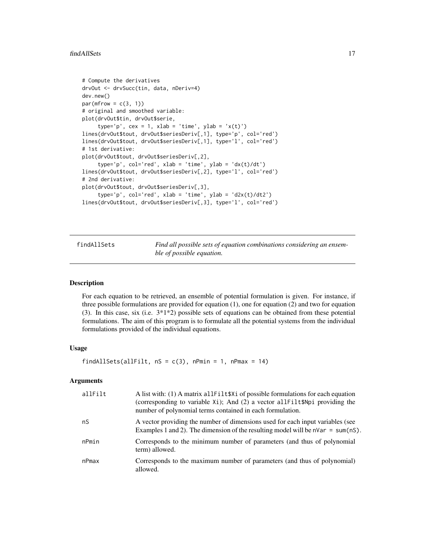```
# Compute the derivatives
drvOut <- drvSucc(tin, data, nDeriv=4)
dev.new()
par(mfrow = c(3, 1))# original and smoothed variable:
plot(drvOut$tin, drvOut$serie,
     type='p', cex = 1, xlab = 'time', ylab = 'x(t)')lines(drvOut$tout, drvOut$seriesDeriv[,1], type='p', col='red')
lines(drvOut$tout, drvOut$seriesDeriv[,1], type='l', col='red')
# 1st derivative:
plot(drvOut$tout, drvOut$seriesDeriv[,2],
     type='p', col='red', xlab = 'time', ylab = 'dx(t)/dt')
lines(drvOut$tout, drvOut$seriesDeriv[,2], type='l', col='red')
# 2nd derivative:
plot(drvOut$tout, drvOut$seriesDeriv[,3],
     type='p', col='red', xlab = 'time', ylab = 'd2x(t)/dt2')lines(drvOut$tout, drvOut$seriesDeriv[,3], type='l', col='red')
```
<span id="page-16-1"></span>findAllSets *Find all possible sets of equation combinations considering an ensemble of possible equation.*

## Description

For each equation to be retrieved, an ensemble of potential formulation is given. For instance, if three possible formulations are provided for equation  $(1)$ , one for equation  $(2)$  and two for equation (3). In this case, six (i.e. 3\*1\*2) possible sets of equations can be obtained from these potential formulations. The aim of this program is to formulate all the potential systems from the individual formulations provided of the individual equations.

#### Usage

findAllSets(allFilt,  $nS = c(3)$ , nPmin = 1, nPmax = 14)

## Arguments

| allFilt | A list with: (1) A matrix all Filt \$X1 of possible formulations for each equation<br>(corresponding to variable $Xi$ ); And (2) a vector all $Filt$ \$Npi providing the<br>number of polynomial terms contained in each formulation. |
|---------|---------------------------------------------------------------------------------------------------------------------------------------------------------------------------------------------------------------------------------------|
| nS      | A vector providing the number of dimensions used for each input variables (see<br>Examples 1 and 2). The dimension of the resulting model will be $n\sqrt{ar} = \text{sum}(nS)$ .                                                     |
| nPmin   | Corresponds to the minimum number of parameters (and thus of polynomial<br>term) allowed.                                                                                                                                             |
| nPmax   | Corresponds to the maximum number of parameters (and thus of polynomial)<br>allowed.                                                                                                                                                  |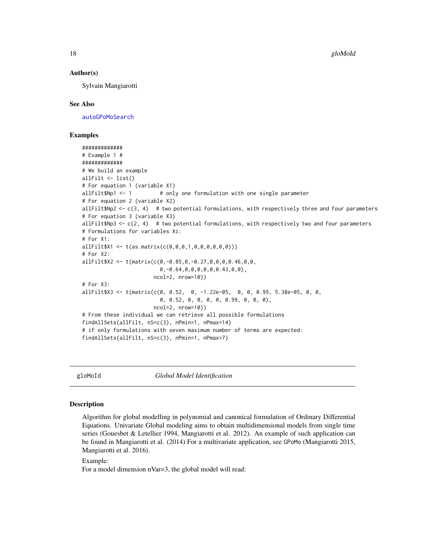#### <span id="page-17-0"></span>Author(s)

Sylvain Mangiarotti

#### See Also

[autoGPoMoSearch](#page-5-1)

## Examples

```
#############
# Example 1 #
#############
# We build an example
allFilt <- list()
# For equation 1 (variable X1)
allFilt$Np1 <- 1 # only one formulation with one single parameter
# For equation 2 (variable X2)
allFilt$Np2 <- c(3, 4) # two potential formulations, with respectively three and four parameters
# For equation 3 (variable X3)
allFilt$Np3 \leq c(2, 4) # two potential formulations, with respectively two and four parameters
# Formulations for variables Xi:
# For X1:
allFilt$X1 <- t(as.matrix(c(0,0,0,1,0,0,0,0,0,0)))
# For X2:
allFilt$X2 <- t(matrix(c(0,-0.85,0,-0.27,0,0,0,0.46,0,0,
                         0,-0.64,0,0,0,0,0,0.43,0,0),
                      ncol=2, nrow=10))
# For X3:
allFilt$X3 <- t(matrix(c(0, 0.52, 0, -1.22e-05, 0, 0, 0.99, 5.38e-05, 0, 0,
                         0, 0.52, 0, 0, 0, 0, 0.99, 0, 0, 0),
                      ncol=2, nrow=10))
# From these individual we can retrieve all possible formulations
findAllSets(allFilt, nS=c(3), nPmin=1, nPmax=14)
# if only formulations with seven maximum number of terms are expected:
findAllSets(allFilt, nS=c(3), nPmin=1, nPmax=7)
```
<span id="page-17-1"></span>

gloMoId *Global Model Identification*

## Description

Algorithm for global modelling in polynomial and canonical formulation of Ordinary Differential Equations. Univariate Global modeling aims to obtain multidimensional models from single time series (Gouesbet & Letellier 1994, Mangiarotti et al. 2012). An example of such application can be found in Mangiarotti et al. (2014) For a multivariate application, see GPoMo (Mangiarotti 2015, Mangiarotti et al. 2016).

Example:

For a model dimension nVar=3, the global model will read: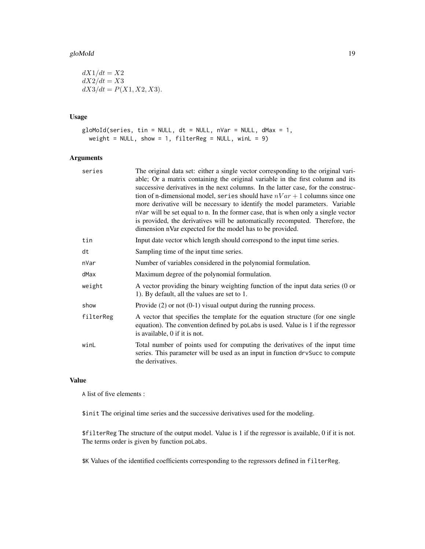#### gloMoId and the set of the set of the set of the set of the set of the set of the set of the set of the set of the set of the set of the set of the set of the set of the set of the set of the set of the set of the set of t

 $dX_1/dt = X_2$  $dX2/dt = X3$  $dX3/dt = P(X1, X2, X3).$ 

## Usage

```
gloMoId(series, tin = NULL, dt = NULL, nVar = NULL, dMax = 1,
 weight = NULL, show = 1, filterReg = NULL, winL = 9)
```
## Arguments

| The original data set: either a single vector corresponding to the original vari-<br>able; Or a matrix containing the original variable in the first column and its<br>successive derivatives in the next columns. In the latter case, for the construc-<br>tion of n-dimensional model, series should have $nVar + 1$ columns since one<br>more derivative will be necessary to identify the model parameters. Variable<br>nVar will be set equal to n. In the former case, that is when only a single vector<br>is provided, the derivatives will be automatically recomputed. Therefore, the<br>dimension nVar expected for the model has to be provided. |  |
|--------------------------------------------------------------------------------------------------------------------------------------------------------------------------------------------------------------------------------------------------------------------------------------------------------------------------------------------------------------------------------------------------------------------------------------------------------------------------------------------------------------------------------------------------------------------------------------------------------------------------------------------------------------|--|
| Input date vector which length should correspond to the input time series.                                                                                                                                                                                                                                                                                                                                                                                                                                                                                                                                                                                   |  |
| Sampling time of the input time series.                                                                                                                                                                                                                                                                                                                                                                                                                                                                                                                                                                                                                      |  |
| Number of variables considered in the polynomial formulation.                                                                                                                                                                                                                                                                                                                                                                                                                                                                                                                                                                                                |  |
| Maximum degree of the polynomial formulation.                                                                                                                                                                                                                                                                                                                                                                                                                                                                                                                                                                                                                |  |
| A vector providing the binary weighting function of the input data series (0 or<br>1). By default, all the values are set to 1.                                                                                                                                                                                                                                                                                                                                                                                                                                                                                                                              |  |
| Provide $(2)$ or not $(0-1)$ visual output during the running process.                                                                                                                                                                                                                                                                                                                                                                                                                                                                                                                                                                                       |  |
| A vector that specifies the template for the equation structure (for one single<br>equation). The convention defined by poLabs is used. Value is 1 if the regressor<br>is available, 0 if it is not.                                                                                                                                                                                                                                                                                                                                                                                                                                                         |  |
| Total number of points used for computing the derivatives of the input time<br>series. This parameter will be used as an input in function drvSucc to compute<br>the derivatives.                                                                                                                                                                                                                                                                                                                                                                                                                                                                            |  |
|                                                                                                                                                                                                                                                                                                                                                                                                                                                                                                                                                                                                                                                              |  |

#### Value

A list of five elements :

\$init The original time series and the successive derivatives used for the modeling.

\$filterReg The structure of the output model. Value is 1 if the regressor is available, 0 if it is not. The terms order is given by function poLabs.

\$K Values of the identified coefficients corresponding to the regressors defined in filterReg.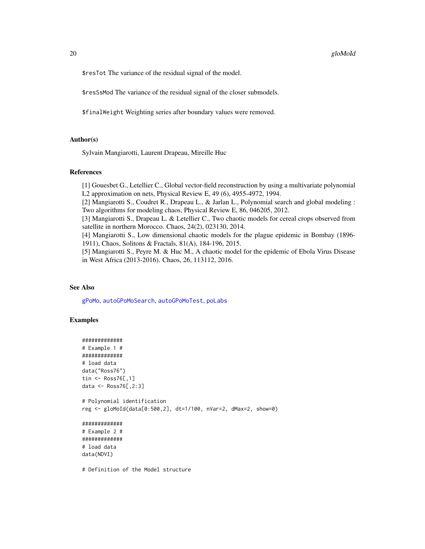#### <span id="page-19-0"></span>20 gloMoId

\$resTot The variance of the residual signal of the model.

\$resSsMod The variance of the residual signal of the closer submodels.

\$finalWeight Weighting series after boundary values were removed.

#### Author(s)

Sylvain Mangiarotti, Laurent Drapeau, Mireille Huc

#### References

[1] Gouesbet G., Letellier C., Global vector-field reconstruction by using a multivariate polynomial L2 approximation on nets, Physical Review E, 49 (6), 4955-4972, 1994.

[2] Mangiarotti S., Coudret R., Drapeau L., & Jarlan L., Polynomial search and global modeling : Two algorithms for modeling chaos, Physical Review E, 86, 046205, 2012.

[3] Mangiarotti S., Drapeau L. & Letellier C., Two chaotic models for cereal crops observed from satellite in northern Morocco. Chaos, 24(2), 023130, 2014.

[4] Mangiarotti S., Low dimensional chaotic models for the plague epidemic in Bombay (1896- 1911), Chaos, Solitons & Fractals, 81(A), 184-196, 2015.

[5] Mangiarotti S., Peyre M. & Huc M., A chaotic model for the epidemic of Ebola Virus Disease in West Africa (2013-2016). Chaos, 26, 113112, 2016.

#### See Also

[gPoMo](#page-20-1), [autoGPoMoSearch](#page-5-1), [autoGPoMoTest](#page-6-1), [poLabs](#page-33-1)

#### Examples

```
#############
# Example 1 #
#############
# load data
data("Ross76")
tin <- Ross76[,1]
data <- Ross76[,2:3]
# Polynomial identification
reg <- gloMoId(data[0:500,2], dt=1/100, nVar=2, dMax=2, show=0)
#############
# Example 2 #
#############
# load data
data(NDVI)
```
# Definition of the Model structure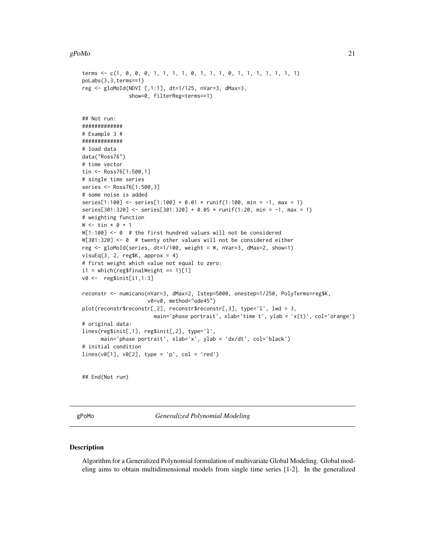#### <span id="page-20-0"></span> $gPoMo$  21

```
terms <- c(1, 0, 0, 0, 1, 1, 1, 1, 0, 1, 1, 1, 0, 1, 1, 1, 1, 1, 1, 1)
poLabs(3,3,terms==1)
reg <- gloMoId(NDVI [,1:1], dt=1/125, nVar=3, dMax=3,
               show=0, filterReg=terms==1)
## Not run:
#############
# Example 3 #
#############
# load data
data("Ross76")
# time vector
tin <- Ross76[1:500,1]
# single time series
series <- Ross76[1:500,3]
# some noise is added
series[1:100] <- series[1:100] + 0.01 * runif(1:100, min = -1, max = 1)
series[301:320] <- series[301:320] + 0.05 * runif(1:20, min = -1, max = 1)
# weighting function
W \leftarrow \text{tin} * 0 + 1W[1:100] <- 0 # the first hundred values will not be considered
W[301:320] <- 0 # twenty other values will not be considered either
reg <- gloMoId(series, dt=1/100, weight = W, nVar=3, dMax=2, show=1)
visuEq(3, 2, reg$K, approx = 4)
# first weight which value not equal to zero:
i1 = which (reg$finalWeight == 1)[1]v0 <- reg$init[i1,1:3]
reconstr <- numicano(nVar=3, dMax=2, Istep=5000, onestep=1/250, PolyTerms=reg$K,
                     v0=v0, method="ode45")
plot(reconstr$reconstr[,2], reconstr$reconstr[,3], type='l', lwd = 3,
                       main='phase portrait', xlab='time t', ylab = 'x(t)', col='orange')
# original data:
lines(reg$init[,1], reg$init[,2], type='l',
      main='phase portrait', xlab='x', ylab = 'dx/dt', col='black')
# initial condition
lines(v0[1], v0[2], type = 'p', col = 'red')
## End(Not run)
```
<span id="page-20-1"></span>

gPoMo *Generalized Polynomial Modeling*

#### Description

Algorithm for a Generalized Polynomial formulation of multivariate Global Modeling. Global modeling aims to obtain multidimensional models from single time series [1-2]. In the generalized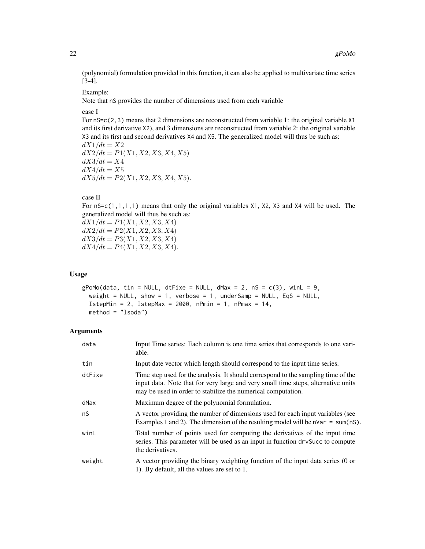(polynomial) formulation provided in this function, it can also be applied to multivariate time series [3-4].

Example:

Note that nS provides the number of dimensions used from each variable

case I

For  $ns=c(2,3)$  means that 2 dimensions are reconstructed from variable 1: the original variable X1 and its first derivative X2), and 3 dimensions are reconstructed from variable 2: the original variable X3 and its first and second derivatives X4 and X5. The generalized model will thus be such as:  $dX_1/dt = X_2$  $dX2/dt = P1(X1, X2, X3, X4, X5)$  $dX3/dt = X4$ 

 $dX4/dt = X5$  $dX5/dt = P2(X1, X2, X3, X4, X5).$ 

#### case II

For nS=c(1,1,1,1) means that only the original variables X1, X2, X3 and X4 will be used. The generalized model will thus be such as:

 $dX1/dt = P1(X1, X2, X3, X4)$  $dX2/dt = P2(X1, X2, X3, X4)$  $dX3/dt = P3(X1, X2, X3, X4)$  $dX4/dt = P4(X1, X2, X3, X4).$ 

#### Usage

```
gPoMo(data, tin = NULL, dffixe = NULL, dMax = 2, ns = c(3), winL = 9,weight = NULL, show = 1, verbose = 1, underSamp = NULL, EqS = NULL,
  IstepMin = 2, IstepMax = 2000, nPmin = 1, nPmax = 14,
 method = "lsoda")
```
#### Arguments

| data   | Input Time series: Each column is one time series that corresponds to one vari-<br>able.                                                                                                                                               |
|--------|----------------------------------------------------------------------------------------------------------------------------------------------------------------------------------------------------------------------------------------|
| tin    | Input date vector which length should correspond to the input time series.                                                                                                                                                             |
| dtFixe | Time step used for the analysis. It should correspond to the sampling time of the<br>input data. Note that for very large and very small time steps, alternative units<br>may be used in order to stabilize the numerical computation. |
| dMax   | Maximum degree of the polynomial formulation.                                                                                                                                                                                          |
| nS     | A vector providing the number of dimensions used for each input variables (see<br>Examples 1 and 2). The dimension of the resulting model will be $n\text{Var} = \text{sum}(n\text{S})$ .                                              |
| winL   | Total number of points used for computing the derivatives of the input time<br>series. This parameter will be used as an input in function drvSucc to compute<br>the derivatives.                                                      |
| weight | A vector providing the binary weighting function of the input data series (0 or<br>1). By default, all the values are set to 1.                                                                                                        |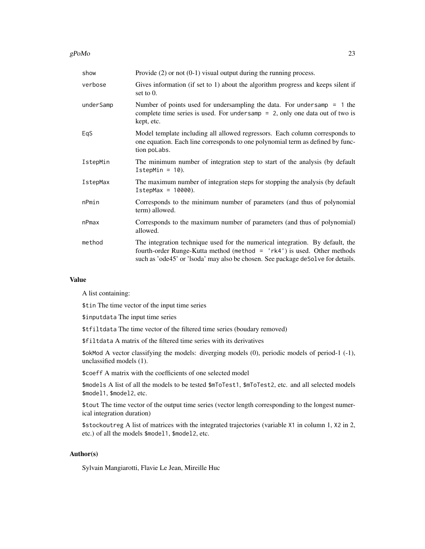#### $gPoMo$  23

| show      | Provide $(2)$ or not $(0-1)$ visual output during the running process.                                                                                                                                                                        |
|-----------|-----------------------------------------------------------------------------------------------------------------------------------------------------------------------------------------------------------------------------------------------|
| verbose   | Gives information (if set to 1) about the algorithm progress and keeps silent if<br>set to $0$ .                                                                                                                                              |
| underSamp | Number of points used for undersampling the data. For undersamp $= 1$ the<br>complete time series is used. For undersamp $= 2$ , only one data out of two is<br>kept, etc.                                                                    |
| EqS       | Model template including all allowed regressors. Each column corresponds to<br>one equation. Each line corresponds to one polynomial term as defined by func-<br>tion poLabs.                                                                 |
| IstepMin  | The minimum number of integration step to start of the analysis (by default<br>$IstepMin = 10$ ).                                                                                                                                             |
| IstepMax  | The maximum number of integration steps for stopping the analysis (by default<br>$IstepMax = 10000$ .                                                                                                                                         |
| nPmin     | Corresponds to the minimum number of parameters (and thus of polynomial<br>term) allowed.                                                                                                                                                     |
| nPmax     | Corresponds to the maximum number of parameters (and thus of polynomial)<br>allowed.                                                                                                                                                          |
| method    | The integration technique used for the numerical integration. By default, the<br>fourth-order Runge-Kutta method (method $=$ 'rk4') is used. Other methods<br>such as 'ode45' or 'lsoda' may also be chosen. See package deSolve for details. |

## Value

A list containing:

\$tin The time vector of the input time series

\$inputdata The input time series

\$tfiltdata The time vector of the filtered time series (boudary removed)

\$filtdata A matrix of the filtered time series with its derivatives

\$okMod A vector classifying the models: diverging models (0), periodic models of period-1 (-1), unclassified models (1).

\$coeff A matrix with the coefficients of one selected model

\$models A list of all the models to be tested \$mToTest1, \$mToTest2, etc. and all selected models \$model1, \$model2, etc.

\$tout The time vector of the output time series (vector length corresponding to the longest numerical integration duration)

\$stockoutreg A list of matrices with the integrated trajectories (variable X1 in column 1, X2 in 2, etc.) of all the models \$model1, \$model2, etc.

## Author(s)

Sylvain Mangiarotti, Flavie Le Jean, Mireille Huc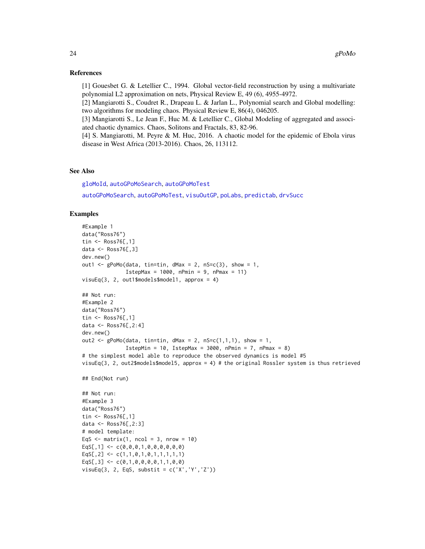#### <span id="page-23-0"></span>References

[1] Gouesbet G. & Letellier C., 1994. Global vector-field reconstruction by using a multivariate polynomial L2 approximation on nets, Physical Review E, 49 (6), 4955-4972.

[2] Mangiarotti S., Coudret R., Drapeau L. & Jarlan L., Polynomial search and Global modelling: two algorithms for modeling chaos. Physical Review E, 86(4), 046205.

[3] Mangiarotti S., Le Jean F., Huc M. & Letellier C., Global Modeling of aggregated and associated chaotic dynamics. Chaos, Solitons and Fractals, 83, 82-96.

[4] S. Mangiarotti, M. Peyre & M. Huc, 2016. A chaotic model for the epidemic of Ebola virus disease in West Africa (2013-2016). Chaos, 26, 113112.

## See Also

[gloMoId](#page-17-1), [autoGPoMoSearch](#page-5-1), [autoGPoMoTest](#page-6-1)

[autoGPoMoSearch](#page-5-1), [autoGPoMoTest](#page-6-1), [visuOutGP](#page-41-1), [poLabs](#page-33-1), [predictab](#page-34-1), [drvSucc](#page-14-1)

```
#Example 1
data("Ross76")
tin <- Ross76[,1]
data <- Ross76[,3]
dev.new()
out1 <- gPoMo(data, tin=tin, dMax = 2, nS=c(3), show = 1,IstepMax = 1000, nPmin = 9, nPmax = 11)
visuEq(3, 2, out1$models$model1, approx = 4)
## Not run:
#Example 2
data("Ross76")
tin <- Ross76[,1]
data <- Ross76[,2:4]
dev.new()
out2 <- gPoMo(data, tin=tin, dMax = 2, nS=c(1,1,1), show = 1,
              IstepMin = 10, IstepMax = 3000, nPmin = 7, nPmax = 8)
# the simplest model able to reproduce the observed dynamics is model #5
visuEq(3, 2, out2$models$model5, approx = 4) # the original Rossler system is thus retrieved
## End(Not run)
## Not run:
#Example 3
data("Ross76")
tin <- Ross76[,1]
data <- Ross76[,2:3]
# model template:
EqS \leq matrix(1, ncol = 3, nrow = 10)
EqS[, 1] \leftarrow c(0, 0, 0, 1, 0, 0, 0, 0, 0, 0)EqS[,2] <- c(1,1,0,1,0,1,1,1,1,1,1)EqS[, 3] \leftarrow c(0,1,0,0,0,0,1,1,0,0)visuEq(3, 2, EqS, substit = c('X','Y','Z'))
```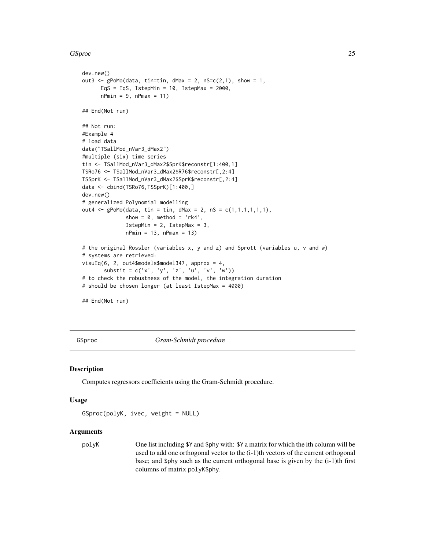#### <span id="page-24-0"></span>GSproc 25

```
dev.new()
out3 <- gPoMo(data, tin=tin, dMax = 2, nS=c(2,1), show = 1,EqS = EqS, IstepMin = 10, IstepMax = 2000,
     nPmin = 9, nPmax = 11## End(Not run)
## Not run:
#Example 4
# load data
data("TSallMod_nVar3_dMax2")
#multiple (six) time series
tin <- TSallMod_nVar3_dMax2$SprK$reconstr[1:400,1]
TSRo76 <- TSallMod_nVar3_dMax2$R76$reconstr[,2:4]
TSSprK <- TSallMod_nVar3_dMax2$SprK$reconstr[,2:4]
data <- cbind(TSRo76,TSSprK)[1:400,]
dev.new()
# generalized Polynomial modelling
out4 <- gPoMo(data, tin = tin, dMax = 2, nS = c(1,1,1,1,1,1),
              show = 0, method = 'rk4',
              IstepMin = 2, IstepMax = 3,
              nPmin = 13, nPmax = 13# the original Rossler (variables x, y and z) and Sprott (variables u, v and w)
# systems are retrieved:
visuEq(6, 2, out4$models$model347, approx = 4,
       substit = c('x', 'y', 'z', 'u', 'v', 'w'))# to check the robustness of the model, the integration duration
# should be chosen longer (at least IstepMax = 4000)
```
## End(Not run)

GSproc *Gram-Schmidt procedure*

#### **Description**

Computes regressors coefficients using the Gram-Schmidt procedure.

#### Usage

```
GSproc(polyK, ivec, weight = NULL)
```
#### Arguments

polyK One list including \$Y and \$phy with: \$Y a matrix for which the ith column will be used to add one orthogonal vector to the (i-1)th vectors of the current orthogonal base; and \$phy such as the current orthogonal base is given by the  $(i-1)$ th first columns of matrix polyK\$phy.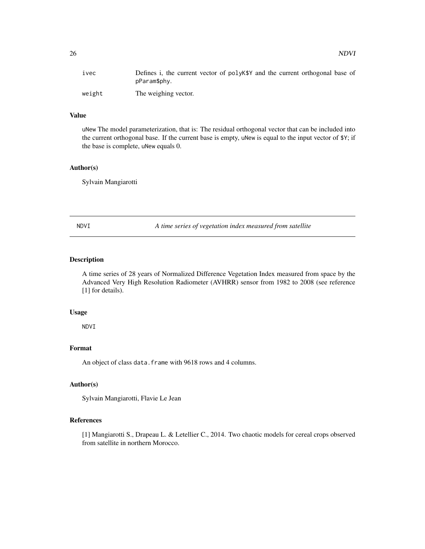<span id="page-25-0"></span>

| 1 vec  | Defines i, the current vector of polyK\$Y and the current orthogonal base of<br>pParam\$phy. |
|--------|----------------------------------------------------------------------------------------------|
| weight | The weighing vector.                                                                         |

## Value

uNew The model parameterization, that is: The residual orthogonal vector that can be included into the current orthogonal base. If the current base is empty, uNew is equal to the input vector of \$Y; if the base is complete, uNew equals 0.

#### Author(s)

Sylvain Mangiarotti

NDVI *A time series of vegetation index measured from satellite*

## Description

A time series of 28 years of Normalized Difference Vegetation Index measured from space by the Advanced Very High Resolution Radiometer (AVHRR) sensor from 1982 to 2008 (see reference [1] for details).

## Usage

NDVI

## Format

An object of class data. frame with 9618 rows and 4 columns.

## Author(s)

Sylvain Mangiarotti, Flavie Le Jean

#### References

[1] Mangiarotti S., Drapeau L. & Letellier C., 2014. Two chaotic models for cereal crops observed from satellite in northern Morocco.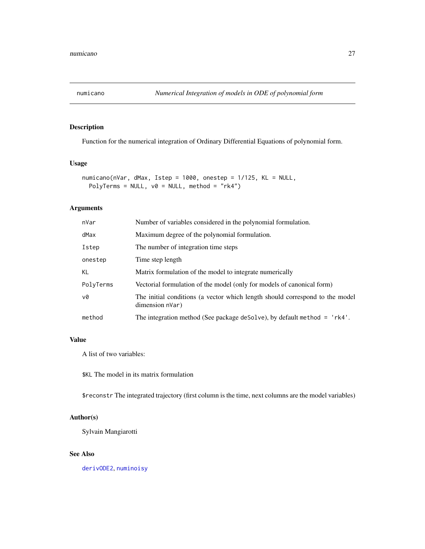<span id="page-26-1"></span><span id="page-26-0"></span>

## Description

Function for the numerical integration of Ordinary Differential Equations of polynomial form.

## Usage

```
numicano(nVar, dMax, Istep = 1000, onestep = 1/125, KL = NULL,
 PolyTerms = NULL, v0 = NULL, method = "rk4")
```
## Arguments

| nVar      | Number of variables considered in the polynomial formulation.                                   |  |
|-----------|-------------------------------------------------------------------------------------------------|--|
| dMax      | Maximum degree of the polynomial formulation.                                                   |  |
| Istep     | The number of integration time steps                                                            |  |
| onestep   | Time step length                                                                                |  |
| <b>KL</b> | Matrix formulation of the model to integrate numerically                                        |  |
| PolyTerms | Vectorial formulation of the model (only for models of canonical form)                          |  |
| v0        | The initial conditions (a vector which length should correspond to the model<br>dimension nVar) |  |
| method    | The integration method (See package deSolve), by default method $=$ 'rk4'.                      |  |
|           |                                                                                                 |  |

## Value

A list of two variables:

\$KL The model in its matrix formulation

\$reconstr The integrated trajectory (first column is the time, next columns are the model variables)

#### Author(s)

Sylvain Mangiarotti

## See Also

[derivODE2](#page-12-1), [numinoisy](#page-28-1)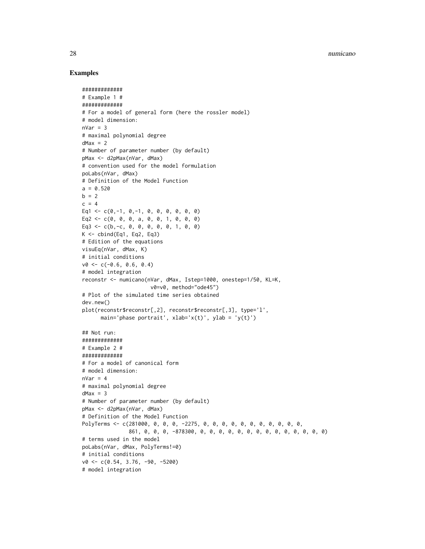28 numicano estableceu e a contra un contra un contra un contra un contra un contra un contra un contra un contra un contra un contra un contra un contra un contra un contra un contra un contra un contra un contra un contr

#### Examples

#############

```
# Example 1 #
#############
# For a model of general form (here the rossler model)
# model dimension:
nVar = 3# maximal polynomial degree
dMax = 2# Number of parameter number (by default)
pMax <- d2pMax(nVar, dMax)
# convention used for the model formulation
poLabs(nVar, dMax)
# Definition of the Model Function
a = 0.520b = 2c = 4Eq1 <- c(0,-1, 0,-1, 0, 0, 0, 0, 0, 0)
Eq2 <- c(0, 0, 0, a, 0, 0, 1, 0, 0, 0)
Eq3 <- c(b,-c, 0, 0, 0, 0, 0, 1, 0, 0)
K \le - cbind(Eq1, Eq2, Eq3)
# Edition of the equations
visuEq(nVar, dMax, K)
# initial conditions
v0 \leq -c(-0.6, 0.6, 0.4)# model integration
reconstr <- numicano(nVar, dMax, Istep=1000, onestep=1/50, KL=K,
                      v0=v0, method="ode45")
# Plot of the simulated time series obtained
dev.new()
plot(reconstr$reconstr[,2], reconstr$reconstr[,3], type='l',
      main='phase portrait', xlab='x(t)', ylab = 'y(t)')## Not run:
#############
# Example 2 #
#############
# For a model of canonical form
# model dimension:
nVar = 4# maximal polynomial degree
dMax = 3# Number of parameter number (by default)
pMax <- d2pMax(nVar, dMax)
# Definition of the Model Function
PolyTerms <- c(281000, 0, 0, 0, -2275, 0, 0, 0, 0, 0, 0, 0, 0, 0, 0, 0,
               861, 0, 0, 0, -878300, 0, 0, 0, 0, 0, 0, 0, 0, 0, 0, 0, 0, 0, 0)
# terms used in the model
poLabs(nVar, dMax, PolyTerms!=0)
# initial conditions
v0 <- c(0.54, 3.76, -90, -5200)
# model integration
```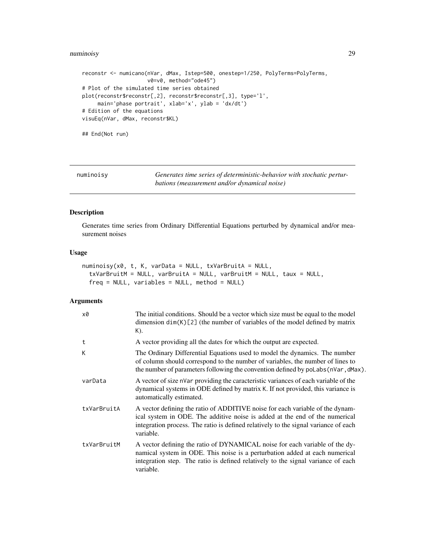## <span id="page-28-0"></span>numinoisy 29

```
reconstr <- numicano(nVar, dMax, Istep=500, onestep=1/250, PolyTerms=PolyTerms,
                     v0=v0, method="ode45")
# Plot of the simulated time series obtained
plot(reconstr$reconstr[,2], reconstr$reconstr[,3], type='l',
     main='phase portrait', xlab='x', ylab = 'dx/dt')
# Edition of the equations
visuEq(nVar, dMax, reconstr$KL)
## End(Not run)
```
<span id="page-28-1"></span>numinoisy *Generates time series of deterministic-behavior with stochatic perturbations (measurement and/or dynamical noise)*

## Description

Generates time series from Ordinary Differential Equations perturbed by dynamical and/or measurement noises

#### Usage

```
numinoisy(x0, t, K, varData = NULL, txVarBruitA = NULL,
  txVarBruitM = NULL, varBruitA = NULL, varBruitM = NULL, taux = NULL,
  freq = NULL, variables = NULL, method = NULL)
```
## Arguments

| x0          | The initial conditions. Should be a vector which size must be equal to the model<br>dimension $dim(K)[2]$ (the number of variables of the model defined by matrix<br>$K$ ).                                                                                      |
|-------------|------------------------------------------------------------------------------------------------------------------------------------------------------------------------------------------------------------------------------------------------------------------|
| t           | A vector providing all the dates for which the output are expected.                                                                                                                                                                                              |
| K           | The Ordinary Differential Equations used to model the dynamics. The number<br>of column should correspond to the number of variables, the number of lines to<br>the number of parameters following the convention defined by poLabs (nVar, dMax).                |
| varData     | A vector of size nVar providing the caracteristic variances of each variable of the<br>dynamical systems in ODE defined by matrix K. If not provided, this variance is<br>automatically estimated.                                                               |
| txVarBruitA | A vector defining the ratio of ADDITIVE noise for each variable of the dynam-<br>ical system in ODE. The additive noise is added at the end of the numerical<br>integration process. The ratio is defined relatively to the signal variance of each<br>variable. |
| txVarBruitM | A vector defining the ratio of DYNAMICAL noise for each variable of the dy-<br>namical system in ODE. This noise is a perturbation added at each numerical<br>integration step. The ratio is defined relatively to the signal variance of each<br>variable.      |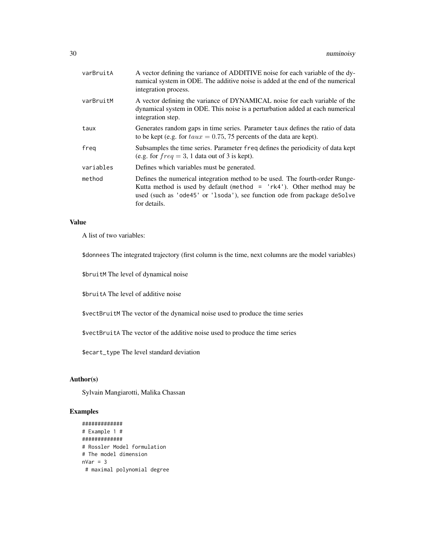| varBruitA | A vector defining the variance of ADDITIVE noise for each variable of the dy-<br>namical system in ODE. The additive noise is added at the end of the numerical<br>integration process.                                                             |
|-----------|-----------------------------------------------------------------------------------------------------------------------------------------------------------------------------------------------------------------------------------------------------|
| varBruitM | A vector defining the variance of DYNAMICAL noise for each variable of the<br>dynamical system in ODE. This noise is a perturbation added at each numerical<br>integration step.                                                                    |
| taux      | Generates random gaps in time series. Parameter taux defines the ratio of data<br>to be kept (e.g. for $taux = 0.75$ , 75 percents of the data are kept).                                                                                           |
| freg      | Subsamples the time series. Parameter freq defines the periodicity of data kept<br>(e.g. for $freq = 3$ , 1 data out of 3 is kept).                                                                                                                 |
| variables | Defines which variables must be generated.                                                                                                                                                                                                          |
| method    | Defines the numerical integration method to be used. The fourth-order Runge-<br>Kutta method is used by default (method $=$ 'rk4'). Other method may be<br>used (such as 'ode45' or 'lsoda'), see function ode from package deSolve<br>for details. |

## Value

A list of two variables:

\$donnees The integrated trajectory (first column is the time, next columns are the model variables)

\$bruitM The level of dynamical noise

\$bruitA The level of additive noise

\$vectBruitM The vector of the dynamical noise used to produce the time series

\$vectBruitA The vector of the additive noise used to produce the time series

\$ecart\_type The level standard deviation

## Author(s)

Sylvain Mangiarotti, Malika Chassan

```
#############
# Example 1 #
#############
# Rossler Model formulation
# The model dimension
nVar = 3# maximal polynomial degree
```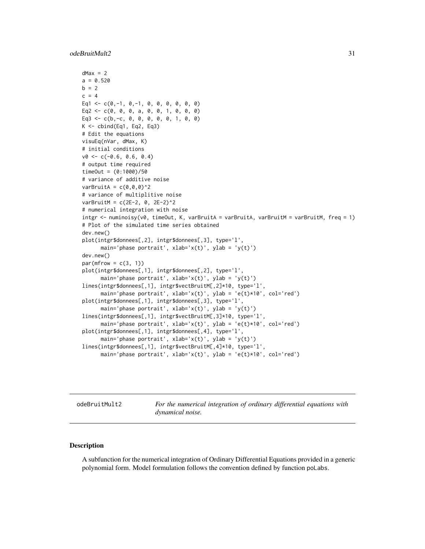#### <span id="page-30-0"></span>odeBruitMult2 31

```
dMax = 2a = 0.520b = 2c = 4Eq1 <- c(0,-1, 0,-1, 0, 0, 0, 0, 0, 0)
Eq2 <- c(0, 0, 0, a, 0, 0, 1, 0, 0, 0)
Eq3 <- c(b,-c, 0, 0, 0, 0, 0, 1, 0, 0)
K \leftarrow \text{cbind}(Eq1, Eq2, Eq3)# Edit the equations
visuEq(nVar, dMax, K)
# initial conditions
v0 \leq -c(-0.6, 0.6, 0.4)# output time required
timeOut = (0:1000)/50# variance of additive noise
varBruitA = c(\theta, \theta, \theta)^2
# variance of multiplitive noise
varBruitM = c(2E-2, 0, 2E-2)^2# numerical integration with noise
intgr \leq numinoisy(v0, timeOut, K, varBruitA = varBruitA, varBruitM = varBruitM, freq = 1)
# Plot of the simulated time series obtained
dev.new()
plot(intgr$donnees[,2], intgr$donnees[,3], type='l',
      main='phase portrait', xlab='x(t)', ylab = 'y(t)')
dev.new()
par(mfrow = c(3, 1))plot(intgr$donnees[,1], intgr$donnees[,2], type='l',
      main='phase portrait', xlab='x(t)', ylab = 'y(t)')
lines(intgr$donnees[,1], intgr$vectBruitM[,2]*10, type='l',
      main='phase portrait', xlab='x(t)', ylab = 'e(t)*10', col='red')
plot(intgr$donnees[,1], intgr$donnees[,3], type='l',
      main='phase portrait', xlab='x(t)', ylab = 'y(t)')
lines(intgr$donnees[,1], intgr$vectBruitM[,3]*10, type='l',
      main='phase portrait', xlab='x(t)', ylab = 'e(t)*10', col='red')
plot(intgr$donnees[,1], intgr$donnees[,4], type='l',
      main='phase portrait', xlab='x(t)', ylab = 'y(t)')
lines(intgr$donnees[,1], intgr$vectBruitM[,4]*10, type='l',
      main='phase portrait', xlab='x(t)', ylab = 'e(t)*10', col='red')
```
odeBruitMult2 *For the numerical integration of ordinary differential equations with dynamical noise.*

## Description

A subfunction for the numerical integration of Ordinary Differential Equations provided in a generic polynomial form. Model formulation follows the convention defined by function poLabs.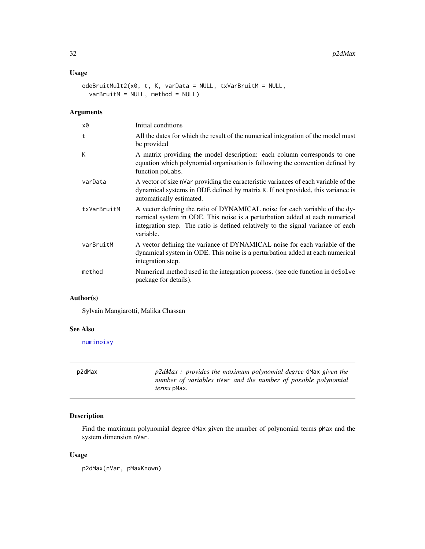## <span id="page-31-0"></span>Usage

```
odeBruitMult2(x0, t, K, varData = NULL, txVarBruitM = NULL,
  varBruitM = NULL, method = NULL)
```
## Arguments

| x0          | Initial conditions                                                                                                                                                                                                                                          |
|-------------|-------------------------------------------------------------------------------------------------------------------------------------------------------------------------------------------------------------------------------------------------------------|
| t           | All the dates for which the result of the numerical integration of the model must<br>be provided                                                                                                                                                            |
| К           | A matrix providing the model description: each column corresponds to one<br>equation which polynomial organisation is following the convention defined by<br>function poLabs.                                                                               |
| varData     | A vector of size nVar providing the caracteristic variances of each variable of the<br>dynamical systems in ODE defined by matrix K. If not provided, this variance is<br>automatically estimated.                                                          |
| txVarBruitM | A vector defining the ratio of DYNAMICAL noise for each variable of the dy-<br>namical system in ODE. This noise is a perturbation added at each numerical<br>integration step. The ratio is defined relatively to the signal variance of each<br>variable. |
| varBruitM   | A vector defining the variance of DYNAMICAL noise for each variable of the<br>dynamical system in ODE. This noise is a perturbation added at each numerical<br>integration step.                                                                            |
| method      | Numerical method used in the integration process. (see ode function in deSolve<br>package for details).                                                                                                                                                     |

## Author(s)

Sylvain Mangiarotti, Malika Chassan

#### See Also

[numinoisy](#page-28-1)

p2dMax *p2dMax : provides the maximum polynomial degree* dMax *given the number of variables* nVar *and the number of possible polynomial terms* pMax*.*

## Description

Find the maximum polynomial degree dMax given the number of polynomial terms pMax and the system dimension nVar.

#### Usage

p2dMax(nVar, pMaxKnown)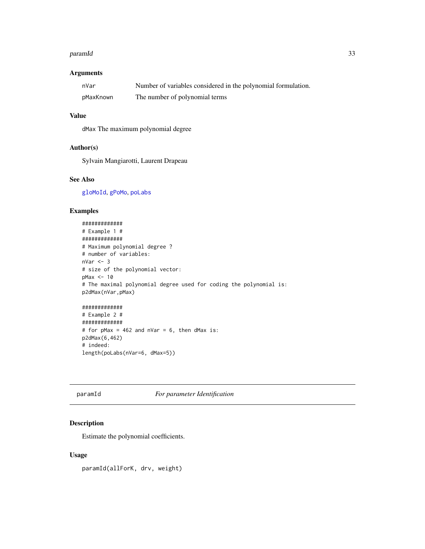#### <span id="page-32-0"></span>paramId 33

## Arguments

| nVar      | Number of variables considered in the polynomial formulation. |
|-----------|---------------------------------------------------------------|
| pMaxKnown | The number of polynomial terms                                |

#### Value

dMax The maximum polynomial degree

#### Author(s)

Sylvain Mangiarotti, Laurent Drapeau

## See Also

[gloMoId](#page-17-1), [gPoMo](#page-20-1), [poLabs](#page-33-1)

## Examples

```
#############
# Example 1 #
#############
# Maximum polynomial degree ?
# number of variables:
nVar < -3# size of the polynomial vector:
pMax <- 10
# The maximal polynomial degree used for coding the polynomial is:
p2dMax(nVar,pMax)
#############
# Example 2 #
#############
# for pMax = 462 and nVar = 6, then dMax is:
p2dMax(6,462)
```
# indeed: length(poLabs(nVar=6, dMax=5))

## paramId *For parameter Identification*

## Description

Estimate the polynomial coefficients.

## Usage

paramId(allForK, drv, weight)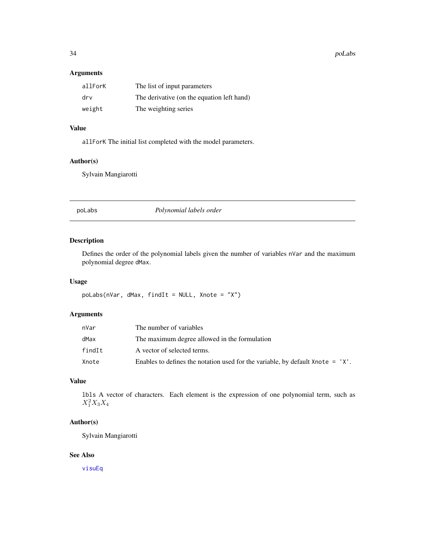<span id="page-33-0"></span>34 poLabs

## Arguments

| allForK | The list of input parameters               |
|---------|--------------------------------------------|
| drv     | The derivative (on the equation left hand) |
| weight  | The weighting series                       |

## Value

allForK The initial list completed with the model parameters.

## Author(s)

Sylvain Mangiarotti

<span id="page-33-1"></span>poLabs *Polynomial labels order*

## Description

Defines the order of the polynomial labels given the number of variables nVar and the maximum polynomial degree dMax.

## Usage

poLabs(nVar, dMax, findIt = NULL, Xnote = "X")

## Arguments

| nVar   | The number of variables                                                          |
|--------|----------------------------------------------------------------------------------|
| dMax   | The maximum degree allowed in the formulation                                    |
| findIt | A vector of selected terms.                                                      |
| Xnote  | Enables to defines the notation used for the variable, by default Xnote $= 'X'.$ |

## Value

lbls A vector of characters. Each element is the expression of one polynomial term, such as  $X_1^2 X_3 X_4$ 

## Author(s)

Sylvain Mangiarotti

## See Also

[visuEq](#page-39-1)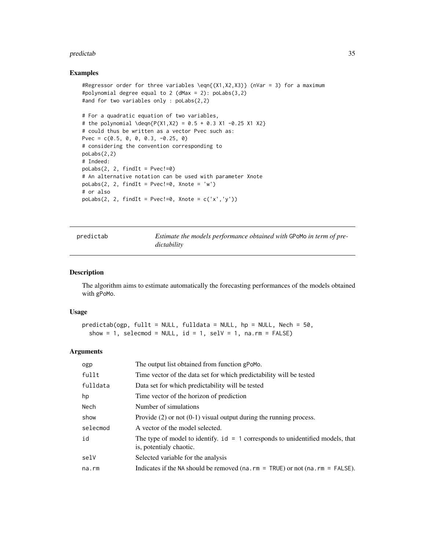#### <span id="page-34-0"></span>predictab 35

#### Examples

```
#Regressor order for three variables \eqn{(X1,X2,X3)} (nVar = 3) for a maximum
#polynomial degree equal to 2 (dMax = 2): poLabs(3,2)
#and for two variables only : poLabs(2,2)
# For a quadratic equation of two variables,
# the polynomial \deqn{P(X1,X2) = 0.5 + 0.3 X1 -0.25 X1 X2}
# could thus be written as a vector Pvec such as:
Pvec = c(0.5, 0, 0, 0.3, -0.25, 0)# considering the convention corresponding to
poLabs(2,2)
# Indeed:
polabs(2, 2, findIt = Pvec!=0)# An alternative notation can be used with parameter Xnote
poLabs(2, 2, findIt = Pvec!=0, Xnote = 'w')
# or also
poLabs(2, 2, findIt = Pvec!=0, Xnote = c('x', 'y'))
```
<span id="page-34-1"></span>predictab *Estimate the models performance obtained with* GPoMo *in term of predictability*

#### Description

The algorithm aims to estimate automatically the forecasting performances of the models obtained with gPoMo.

#### Usage

```
predictab(ogp, fullt = NULL, fulldata = NULL, hp = NULL, Nech = 50,
  show = 1, selecmod = NULL, id = 1, selV = 1, na.rm = FALSE)
```
#### Arguments

| ogp      | The output list obtained from function gPoMo.                                                               |
|----------|-------------------------------------------------------------------------------------------------------------|
| fullt    | Time vector of the data set for which predictability will be tested                                         |
| fulldata | Data set for which predictability will be tested                                                            |
| hp       | Time vector of the horizon of prediction                                                                    |
| Nech     | Number of simulations                                                                                       |
| show     | Provide $(2)$ or not $(0-1)$ visual output during the running process.                                      |
| selecmod | A vector of the model selected.                                                                             |
| id       | The type of model to identify. $id = 1$ corresponds to unidentified models, that<br>is, potentialy chaotic. |
| selV     | Selected variable for the analysis                                                                          |
| na.rm    | Indicates if the NA should be removed ( $na$ . $rm = TRUE$ ) or not ( $na$ . $rm = FALSE$ ).                |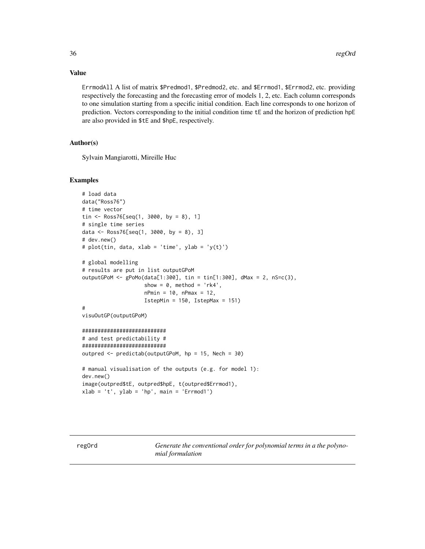## Value

ErrmodAll A list of matrix \$Predmod1, \$Predmod2, etc. and \$Errmod1, \$Errmod2, etc. providing respectively the forecasting and the forecasting error of models 1, 2, etc. Each column corresponds to one simulation starting from a specific initial condition. Each line corresponds to one horizon of prediction. Vectors corresponding to the initial condition time tE and the horizon of prediction hpE are also provided in \$tE and \$hpE, respectively.

## Author(s)

Sylvain Mangiarotti, Mireille Huc

#### Examples

```
# load data
data("Ross76")
# time vector
tin <- Ross76[seq(1, 3000, by = 8), 1]
# single time series
data <- Ross76[seq(1, 3000, by = 8), 3]
# dev.new()
# plot(tin, data, xlab = 'time', ylab = 'y(t)')
# global modelling
# results are put in list outputGPoM
outputGPoM <- gPoMo(data[1:300], tin = tin[1:300], dMax = 2, nS=c(3),show = 0, method = 'rk4',
                    nPmin = 10, nPmax = 12,
                    IstepMin = 150, IstepMax = 151)
#
visuOutGP(outputGPoM)
###########################
# and test predictability #
###########################
outpred <- predictab(outputGPoM, hp = 15, Nech = 30)
# manual visualisation of the outputs (e.g. for model 1):
dev.new()
image(outpred$tE, outpred$hpE, t(outpred$Errmod1),
xlab = 't', ylab = 'hp', main = 'Errmod1')
```
regOrd *Generate the conventional order for polynomial terms in a the polynomial formulation*

<span id="page-35-0"></span>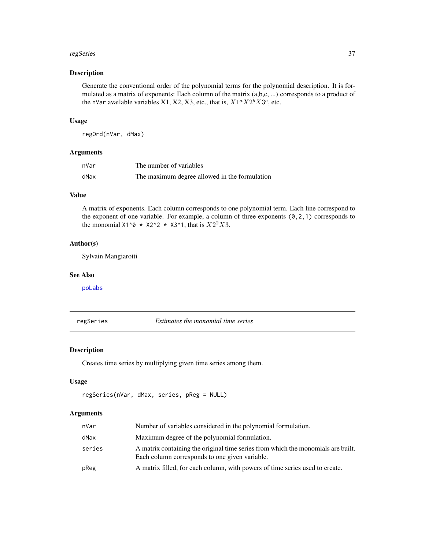#### <span id="page-36-0"></span>regSeries 37

## Description

Generate the conventional order of the polynomial terms for the polynomial description. It is formulated as a matrix of exponents: Each column of the matrix (a,b,c, ...) corresponds to a product of the nVar available variables X1, X2, X3, etc., that is,  $X1^a X2^b X3^c$ , etc.

#### Usage

regOrd(nVar, dMax)

## Arguments

| nVar | The number of variables                       |
|------|-----------------------------------------------|
| dMax | The maximum degree allowed in the formulation |

## Value

A matrix of exponents. Each column corresponds to one polynomial term. Each line correspond to the exponent of one variable. For example, a column of three exponents (0,2,1) corresponds to the monomial  $X1^0 \times X2^2 \times X3^1$ , that is  $X2^2 X3$ .

#### Author(s)

Sylvain Mangiarotti

#### See Also

[poLabs](#page-33-1)

regSeries *Estimates the monomial time series*

## Description

Creates time series by multiplying given time series among them.

## Usage

```
regSeries(nVar, dMax, series, pReg = NULL)
```
## Arguments

| nVar   | Number of variables considered in the polynomial formulation.                                                                      |
|--------|------------------------------------------------------------------------------------------------------------------------------------|
| dMax   | Maximum degree of the polynomial formulation.                                                                                      |
| series | A matrix containing the original time series from which the monomials are built.<br>Each column corresponds to one given variable. |
| pReg   | A matrix filled, for each column, with powers of time series used to create.                                                       |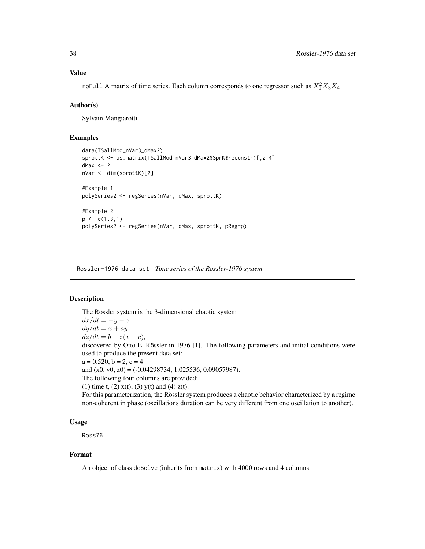rpFull A matrix of time series. Each column corresponds to one regressor such as  $X_1^2 X_3 X_4$ 

#### Author(s)

Sylvain Mangiarotti

## Examples

```
data(TSallMod_nVar3_dMax2)
sprottK <- as.matrix(TSallMod_nVar3_dMax2$SprK$reconstr)[,2:4]
dMax < -2nVar <- dim(sprottK)[2]
#Example 1
polySeries2 <- regSeries(nVar, dMax, sprottK)
#Example 2
p \leftarrow c(1,3,1)polySeries2 <- regSeries(nVar, dMax, sprottK, pReg=p)
```
Rossler-1976 data set *Time series of the Rossler-1976 system*

## Description

The Rössler system is the 3-dimensional chaotic system  $dx/dt = -y - z$  $dy/dt = x + ay$  $dz/dt = b + z(x - c),$ discovered by Otto E. Rössler in 1976 [1]. The following parameters and initial conditions were used to produce the present data set:  $a = 0.520, b = 2, c = 4$ and  $(x0, y0, z0) = (-0.04298734, 1.025536, 0.09057987)$ . The following four columns are provided: (1) time t, (2)  $x(t)$ , (3)  $y(t)$  and (4)  $z(t)$ . For this parameterization, the Rössler system produces a chaotic behavior characterized by a regime non-coherent in phase (oscillations duration can be very different from one oscillation to another).

#### Usage

Ross76

## Format

An object of class deSolve (inherits from matrix) with 4000 rows and 4 columns.

<span id="page-37-0"></span>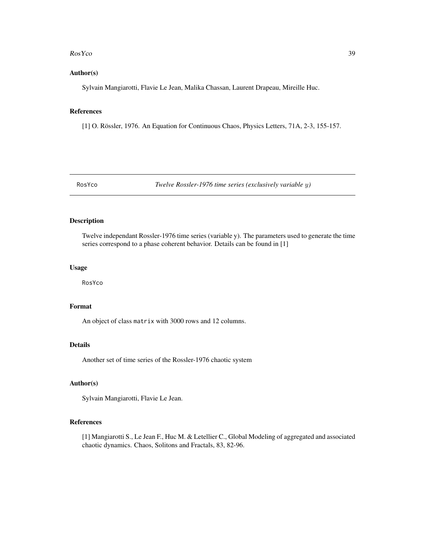#### <span id="page-38-0"></span>Ros Y co and the state of the state of the state of the state of the state of the state of the state of the state of the state of the state of the state of the state of the state of the state of the state of the state of t

#### Author(s)

Sylvain Mangiarotti, Flavie Le Jean, Malika Chassan, Laurent Drapeau, Mireille Huc.

#### References

[1] O. Rössler, 1976. An Equation for Continuous Chaos, Physics Letters, 71A, 2-3, 155-157.

RosYco *Twelve Rossler-1976 time series (exclusively variable* y*)*

## Description

Twelve independant Rossler-1976 time series (variable y). The parameters used to generate the time series correspond to a phase coherent behavior. Details can be found in [1]

## Usage

RosYco

## Format

An object of class matrix with 3000 rows and 12 columns.

## Details

Another set of time series of the Rossler-1976 chaotic system

#### Author(s)

Sylvain Mangiarotti, Flavie Le Jean.

## References

[1] Mangiarotti S., Le Jean F., Huc M. & Letellier C., Global Modeling of aggregated and associated chaotic dynamics. Chaos, Solitons and Fractals, 83, 82-96.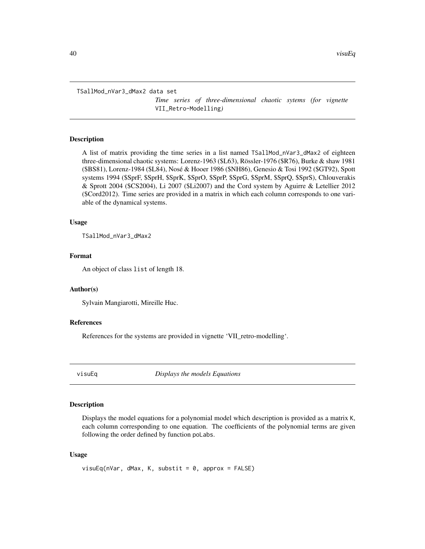<span id="page-39-0"></span>TSallMod\_nVar3\_dMax2 data set

*Time series of three-dimensional chaotic sytems (for vignette* VII\_Retro-Modelling*)*

## Description

A list of matrix providing the time series in a list named TSallMod\_nVar3\_dMax2 of eighteen three-dimensional chaotic systems: Lorenz-1963 (\$L63), Rössler-1976 (\$R76), Burke & shaw 1981 (\$BS81), Lorenz-1984 (\$L84), Nosé & Hooer 1986 (\$NH86), Genesio & Tosi 1992 (\$GT92), Spott systems 1994 (\$SprF, \$SprH, \$SprK, \$SprO, \$SprP, \$SprG, \$SprM, \$SprQ, \$SprS), Chlouverakis & Sprott 2004 (\$CS2004), Li 2007 (\$Li2007) and the Cord system by Aguirre & Letellier 2012 (\$Cord2012). Time series are provided in a matrix in which each column corresponds to one variable of the dynamical systems.

#### Usage

TSallMod\_nVar3\_dMax2

#### Format

An object of class list of length 18.

#### Author(s)

Sylvain Mangiarotti, Mireille Huc.

#### References

References for the systems are provided in vignette 'VII\_retro-modelling'.

<span id="page-39-1"></span>

visuEq *Displays the models Equations*

#### Description

Displays the model equations for a polynomial model which description is provided as a matrix K, each column corresponding to one equation. The coefficients of the polynomial terms are given following the order defined by function poLabs.

#### Usage

```
visuEq(nVar, dMax, K, substit = 0, approx = FALSE)
```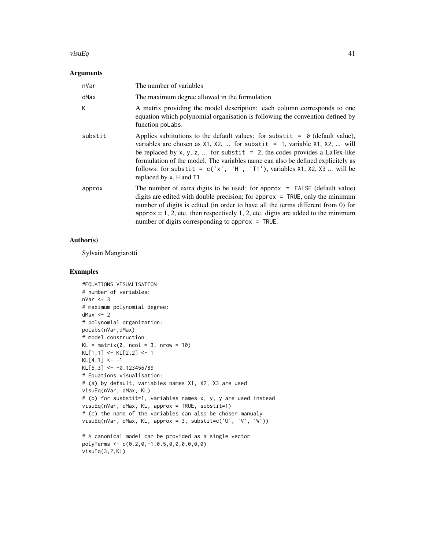#### $v$ isuEq $41$

#### Arguments

| nVar    | The number of variables                                                                                                                                                                                                                                                                                                                                                                                                                                   |
|---------|-----------------------------------------------------------------------------------------------------------------------------------------------------------------------------------------------------------------------------------------------------------------------------------------------------------------------------------------------------------------------------------------------------------------------------------------------------------|
| dMax    | The maximum degree allowed in the formulation                                                                                                                                                                                                                                                                                                                                                                                                             |
| К       | A matrix providing the model description: each column corresponds to one<br>equation which polynomial organisation is following the convention defined by<br>function poLabs.                                                                                                                                                                                                                                                                             |
| substit | Applies subtitutions to the default values: for substit = $\theta$ (default value),<br>variables are chosen as $X1$ , $X2$ ,  for substit = 1, variable $X1$ , $X2$ ,  will<br>be replaced by x, y, z,  for substit = 2, the codes provides a LaTex-like<br>formulation of the model. The variables name can also be defined explicitely as<br>follows: for substit = $c('x', 'H', 'T1'),$ variables $x_1, x_2, x_3 $ will be<br>replaced by x, H and T1. |
| approx  | The number of extra digits to be used: for approx $=$ FALSE (default value)<br>digits are edited with double precision; for approx $=$ TRUE, only the minimum<br>number of digits is edited (in order to have all the terms different from 0) for<br>$approx = 1, 2,$ etc. then respectively 1, 2, etc. digits are added to the minimum<br>number of digits corresponding to approx $=$ TRUE.                                                             |

## Author(s)

Sylvain Mangiarotti

```
#EQUATIONS VISUALISATION
# number of variables:
nVar <- 3
# maximum polynomial degree:
dMax < -2# polynomial organization:
poLabs(nVar,dMax)
# model construction
KL = matrix(0, ncol = 3, nrow = 10)KL[1,1] <- KL[2,2] <- 1
KL[4, 1] <- -1
KL[5,3] <- -0.123456789
# Equations visualisation:
# (a) by default, variables names X1, X2, X3 are used
visuEq(nVar, dMax, KL)
# (b) for susbstit=1, variables names x, y, y are used instead
visuEq(nVar, dMax, KL, approx = TRUE, substit=1)
# (c) the name of the variables can also be chosen manualy
visuEq(nVar, dMax, KL, approx = 3, substit=c('U', 'V', 'W'))
# A canonical model can be provided as a single vector
polyTerms <- c(0.2,0,-1,0.5,0,0,0,0,0,0)
```

```
visuEq(3,2,KL)
```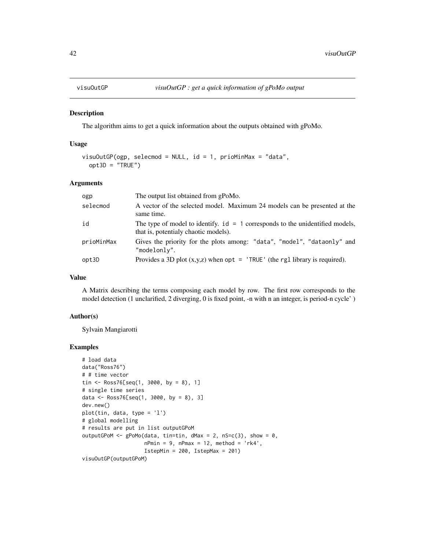<span id="page-41-1"></span><span id="page-41-0"></span>

#### Description

The algorithm aims to get a quick information about the outputs obtained with gPoMo.

## Usage

```
visuOutGP(ogp, selecmod = NULL, id = 1, prioMinMax = "data",
 opt3D = "TRUE")
```
## Arguments

| ogp        | The output list obtained from gPoMo.                                                                                    |
|------------|-------------------------------------------------------------------------------------------------------------------------|
| selecmod   | A vector of the selected model. Maximum 24 models can be presented at the<br>same time.                                 |
| id         | The type of model to identify. $id = 1$ corresponds to the unidentified models,<br>that is, potentialy chaotic models). |
| prioMinMax | Gives the priority for the plots among: "data", "model", "dataonly" and<br>"modelonly".                                 |
| opt3D      | Provides a 3D plot $(x,y,z)$ when opt = 'TRUE' (the rg1 library is required).                                           |

#### Value

A Matrix describing the terms composing each model by row. The first row corresponds to the model detection (1 unclarified, 2 diverging, 0 is fixed point, -n with n an integer, is period-n cycle' )

#### Author(s)

Sylvain Mangiarotti

```
# load data
data("Ross76")
# # time vector
tin <- Ross76[seq(1, 3000, by = 8), 1]
# single time series
data <- Ross76[seq(1, 3000, by = 8), 3]
dev.new()
plot(tin, data, type = 'l')
# global modelling
# results are put in list outputGPoM
outputGPoM <- gPoMo(data, tin=tin, dMax = 2, nS=c(3), show = 0,nPmin = 9, nPmax = 12, method = 'rk4',
                    IstepMin = 200, IstepMax = 201)
visuOutGP(outputGPoM)
```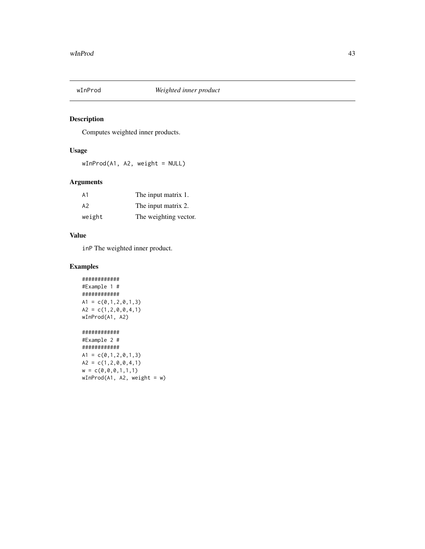<span id="page-42-0"></span>

## Description

Computes weighted inner products.

## Usage

wInProd(A1, A2, weight = NULL)

## Arguments

| A1     | The input matrix 1.   |
|--------|-----------------------|
| A2     | The input matrix 2.   |
| weight | The weighting vector. |

## Value

inP The weighted inner product.

```
############
#Example 1 #
############
A1 = c(0,1,2,0,1,3)A2 = c(1, 2, 0, 0, 4, 1)wInProd(A1, A2)
############
#Example 2 #
############
A1 = c(0,1,2,0,1,3)A2 = c(1, 2, 0, 0, 4, 1)w = c(0, 0, 0, 1, 1, 1)wInProd(A1, A2, weight = w)
```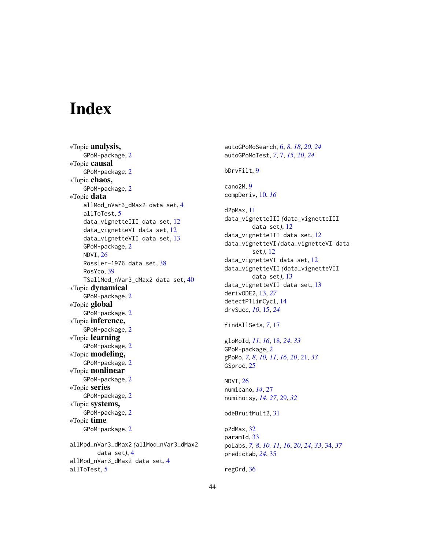# <span id="page-43-0"></span>**Index**

∗Topic analysis, GPoM-package, [2](#page-1-0) ∗Topic causal GPoM-package, [2](#page-1-0) ∗Topic chaos, GPoM-package, [2](#page-1-0) ∗Topic data allMod\_nVar3\_dMax2 data set, [4](#page-3-0) allToTest, [5](#page-4-0) data\_vignetteIII data set, [12](#page-11-0) data\_vignetteVI data set, [12](#page-11-0) data\_vignetteVII data set, [13](#page-12-0) GPoM-package, [2](#page-1-0) NDVI, [26](#page-25-0) Rossler-1976 data set, [38](#page-37-0) RosYco, [39](#page-38-0) TSallMod\_nVar3\_dMax2 data set, [40](#page-39-0) ∗Topic dynamical GPoM-package, [2](#page-1-0) ∗Topic global GPoM-package, [2](#page-1-0) ∗Topic inference, GPoM-package, [2](#page-1-0) ∗Topic learning GPoM-package, [2](#page-1-0) ∗Topic modeling, GPoM-package, [2](#page-1-0) ∗Topic nonlinear GPoM-package, [2](#page-1-0) ∗Topic series GPoM-package, [2](#page-1-0) ∗Topic systems, GPoM-package, [2](#page-1-0) ∗Topic time GPoM-package, [2](#page-1-0) allMod\_nVar3\_dMax2 *(*allMod\_nVar3\_dMax2 data set*)*, [4](#page-3-0) allMod\_nVar3\_dMax2 data set, [4](#page-3-0) allToTest, [5](#page-4-0)

autoGPoMoSearch, [6,](#page-5-0) *[8](#page-7-0)*, *[18](#page-17-0)*, *[20](#page-19-0)*, *[24](#page-23-0)* autoGPoMoTest, *[7](#page-6-0)*, [7,](#page-6-0) *[15](#page-14-0)*, *[20](#page-19-0)*, *[24](#page-23-0)* bDrvFilt, [9](#page-8-0) cano2M, [9](#page-8-0) compDeriv, [10,](#page-9-0) *[16](#page-15-0)* d2pMax, [11](#page-10-0) data\_vignetteIII *(*data\_vignetteIII data set*)*, [12](#page-11-0) data\_vignetteIII data set, [12](#page-11-0) data\_vignetteVI *(*data\_vignetteVI data set*)*, [12](#page-11-0) data\_vignetteVI data set, [12](#page-11-0) data\_vignetteVII *(*data\_vignetteVII data set*)*, [13](#page-12-0) data\_vignetteVII data set, [13](#page-12-0) derivODE2, [13,](#page-12-0) *[27](#page-26-0)* detectP1limCycl, [14](#page-13-0) drvSucc, *[10](#page-9-0)*, [15,](#page-14-0) *[24](#page-23-0)* findAllSets, *[7](#page-6-0)*, [17](#page-16-0) gloMoId, *[11](#page-10-0)*, *[16](#page-15-0)*, [18,](#page-17-0) *[24](#page-23-0)*, *[33](#page-32-0)* GPoM-package, [2](#page-1-0) gPoMo, *[7,](#page-6-0) [8](#page-7-0)*, *[10,](#page-9-0) [11](#page-10-0)*, *[16](#page-15-0)*, *[20](#page-19-0)*, [21,](#page-20-0) *[33](#page-32-0)* GSproc, [25](#page-24-0) NDVI, [26](#page-25-0) numicano, *[14](#page-13-0)*, [27](#page-26-0) numinoisy, *[14](#page-13-0)*, *[27](#page-26-0)*, [29,](#page-28-0) *[32](#page-31-0)* odeBruitMult2, [31](#page-30-0) p2dMax, [32](#page-31-0) paramId, [33](#page-32-0) poLabs, *[7,](#page-6-0) [8](#page-7-0)*, *[10,](#page-9-0) [11](#page-10-0)*, *[16](#page-15-0)*, *[20](#page-19-0)*, *[24](#page-23-0)*, *[33](#page-32-0)*, [34,](#page-33-0) *[37](#page-36-0)* predictab, *[24](#page-23-0)*, [35](#page-34-0) regOrd, [36](#page-35-0)